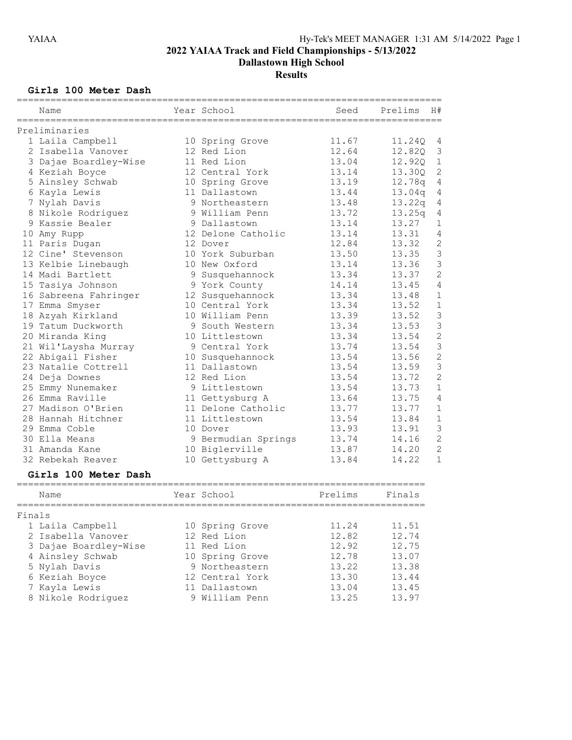Dallastown High School

# **Results**

# Girls 100 Meter Dash

|        | Name                  | Year School         | Seed    | Prelims<br>H# |                |
|--------|-----------------------|---------------------|---------|---------------|----------------|
|        | Preliminaries         |                     |         |               |                |
|        | 1 Laila Campbell      | 10 Spring Grove     | 11.67   | 11.24Q        | 4              |
|        | 2 Isabella Vanover    | 12 Red Lion         | 12.64   | 12.82Q        | 3              |
|        | 3 Dajae Boardley-Wise | 11 Red Lion         | 13.04   | 12.92Q        | $\mathbf 1$    |
|        | 4 Keziah Boyce        | 12 Central York     | 13.14   | 13.30Q        | $\overline{c}$ |
|        | 5 Ainsley Schwab      | 10 Spring Grove     | 13.19   | 12.78q        | 4              |
|        | 6 Kayla Lewis         | 11 Dallastown       | 13.44   | 13.04q        | 4              |
|        | 7 Nylah Davis         | 9 Northeastern      | 13.48   | 13.22q        | 4              |
|        | 8 Nikole Rodriguez    | 9 William Penn      | 13.72   | 13.25q        | 4              |
|        | 9 Kassie Bealer       | 9 Dallastown        | 13.14   | 13.27         | 1              |
|        | 10 Amy Rupp           | 12 Delone Catholic  | 13.14   | 13.31         | 4              |
|        | 11 Paris Dugan        | 12 Dover            | 12.84   | 13.32         | $\overline{c}$ |
|        | 12 Cine' Stevenson    | 10 York Suburban    | 13.50   | 13.35         | 3              |
|        | 13 Kelbie Linebaugh   | 10 New Oxford       | 13.14   | 13.36         | 3              |
|        | 14 Madi Bartlett      | 9 Susquehannock     | 13.34   | 13.37         | $\overline{c}$ |
|        | 15 Tasiya Johnson     | 9 York County       | 14.14   | 13.45         | $\sqrt{4}$     |
|        | 16 Sabreena Fahringer | 12 Susquehannock    | 13.34   | 13.48         | 1              |
|        | 17 Emma Smyser        | 10 Central York     | 13.34   | 13.52         | $\mathbf 1$    |
|        | 18 Azyah Kirkland     | 10 William Penn     | 13.39   | 13.52         | 3              |
|        | 19 Tatum Duckworth    | 9 South Western     | 13.34   | 13.53         | 3              |
|        | 20 Miranda King       | 10 Littlestown      | 13.34   | 13.54         | $\overline{c}$ |
|        | 21 Wil'Laysha Murray  | 9 Central York      | 13.74   | 13.54         | 3              |
|        | 22 Abigail Fisher     | 10 Susquehannock    | 13.54   | 13.56         | $\overline{c}$ |
|        | 23 Natalie Cottrell   | 11 Dallastown       | 13.54   | 13.59         | 3              |
|        | 24 Deja Downes        | 12 Red Lion         | 13.54   | 13.72         | $\overline{2}$ |
|        | 25 Emmy Nunemaker     | 9 Littlestown       | 13.54   | 13.73         | $\mathbf 1$    |
|        | 26 Emma Raville       | 11 Gettysburg A     | 13.64   | 13.75         | $\overline{4}$ |
|        | 27 Madison O'Brien    | 11 Delone Catholic  | 13.77   | 13.77         | 1              |
|        | 28 Hannah Hitchner    | 11 Littlestown      | 13.54   | 13.84         | $\mathbf 1$    |
|        | 29 Emma Coble         | 10 Dover            | 13.93   | 13.91         | 3              |
|        | 30 Ella Means         | 9 Bermudian Springs | 13.74   | 14.16         | $\overline{c}$ |
|        | 31 Amanda Kane        | 10 Biglerville      | 13.87   | 14.20         | $\overline{c}$ |
|        | 32 Rebekah Reaver     | 10 Gettysburg A     | 13.84   | 14.22         | $\mathbf 1$    |
|        | Girls 100 Meter Dash  |                     |         |               |                |
|        | Name                  | Year School         | Prelims | Finals        |                |
|        |                       |                     |         |               |                |
| Finals |                       |                     |         |               |                |
|        | 1 Laila Campbell      | 10 Spring Grove     | 11.24   | 11.51         |                |
|        | 2 Isabella Vanover    | 12 Red Lion         | 12.82   | 12.74         |                |
|        | 3 Dajae Boardley-Wise | 11 Red Lion         | 12.92   | 12.75         |                |
|        | 4 Ainsley Schwab      | 10 Spring Grove     | 12.78   | 13.07         |                |
|        | 5 Nylah Davis         | 9 Northeastern      | 13.22   | 13.38         |                |
|        | 6 Keziah Boyce        | 12 Central York     | 13.30   | 13.44         |                |
|        | 7 Kayla Lewis         | 11 Dallastown       | 13.04   | 13.45         |                |
|        | 8 Nikole Rodriquez    | 9 William Penn      | 13.25   | 13.97         |                |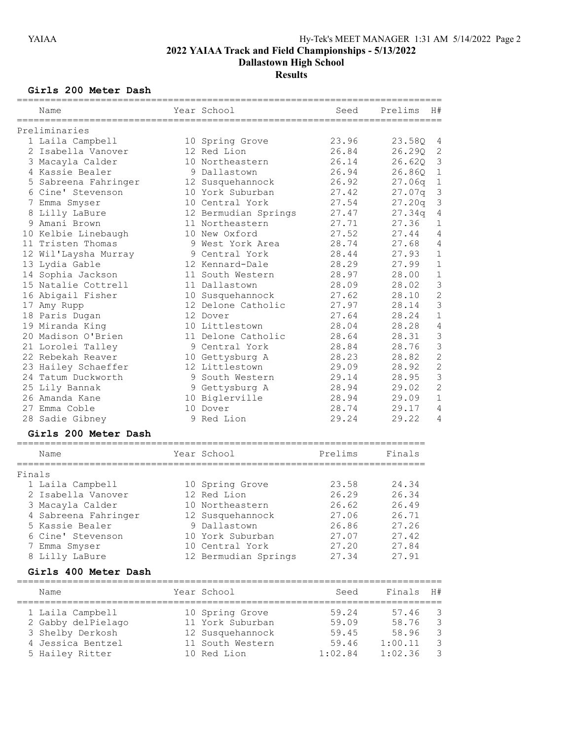Dallastown High School

# **Results**

### Girls 200 Meter Dash

|    | Name                 | Year School          | Seed    | Prelims            | H#             |
|----|----------------------|----------------------|---------|--------------------|----------------|
|    | Preliminaries        |                      |         |                    |                |
|    | 1 Laila Campbell     | 10 Spring Grove      | 23.96   | 23.58Q             | 4              |
|    | 2 Isabella Vanover   | 12 Red Lion          | 26.84   | 26.290             | $\mathbf{2}$   |
|    | 3 Macayla Calder     | 10 Northeastern      | 26.14   | 26.620             | $\mathsf 3$    |
|    | 4 Kassie Bealer      | 9 Dallastown         | 26.94   | 26.860             | $1\,$          |
|    | 5 Sabreena Fahringer | 12 Susquehannock     | 26.92   | 27.06q             | $\mathbf 1$    |
|    | 6 Cine' Stevenson    | 10 York Suburban     | 27.42   | 27.07q             | $\mathfrak{Z}$ |
|    | 7 Emma Smyser        | 10 Central York      | 27.54   | 27.20q             | $\mathsf 3$    |
|    | 8 Lilly LaBure       | 12 Bermudian Springs | 27.47   | 27.34 <sub>q</sub> | $\sqrt{4}$     |
|    | 9 Amani Brown        | 11 Northeastern      | 27.71   | 27.36              | 1              |
|    | 10 Kelbie Linebaugh  | 10 New Oxford        | 27.52   | 27.44              | $\overline{4}$ |
|    | 11 Tristen Thomas    | 9 West York Area     | 28.74   | 27.68              | $\overline{4}$ |
|    | 12 Wil'Laysha Murray | 9 Central York       | 28.44   | 27.93              | $\mathbf 1$    |
|    | 13 Lydia Gable       | 12 Kennard-Dale      | 28.29   | 27.99              | $1\,$          |
| 14 | Sophia Jackson       | 11 South Western     | 28.97   | 28.00              | $\mathbf 1$    |
|    | 15 Natalie Cottrell  | 11 Dallastown        | 28.09   | 28.02              | $\overline{3}$ |
|    | 16 Abigail Fisher    | 10 Susquehannock     | 27.62   | 28.10              | $\overline{c}$ |
|    | 17 Amy Rupp          | 12 Delone Catholic   | 27.97   | 28.14              | 3              |
|    | 18 Paris Dugan       | 12 Dover             | 27.64   | 28.24              | $\mathbf{1}$   |
|    | 19 Miranda King      | 10 Littlestown       | 28.04   | 28.28              | $\overline{4}$ |
|    | 20 Madison O'Brien   | 11 Delone Catholic   | 28.64   | 28.31              | 3              |
|    | 21 Lorolei Talley    | 9 Central York       | 28.84   | 28.76              | 3              |
|    | 22 Rebekah Reaver    | 10 Gettysburg A      | 28.23   | 28.82              | $\overline{c}$ |
|    | 23 Hailey Schaeffer  | 12 Littlestown       | 29.09   | 28.92              | $\overline{c}$ |
|    | 24 Tatum Duckworth   | 9 South Western      | 29.14   | 28.95              | 3              |
|    | 25 Lily Bannak       | Gettysburg A         | 28.94   | 29.02              | $\overline{2}$ |
|    | 26 Amanda Kane       | 10 Biglerville       | 28.94   | 29.09              | $1\,$          |
|    | 27 Emma Coble        | 10 Dover             | 28.74   | 29.17              | 4              |
|    | 28 Sadie Gibney      | 9 Red Lion           | 29.24   | 29.22              | 4              |
|    | Girls 200 Meter Dash |                      |         |                    |                |
|    | Name                 | Year School          | Prelims | Finals             |                |

|        | - France             | ICUL DUNCUL          |       |       |
|--------|----------------------|----------------------|-------|-------|
| Finals |                      |                      |       |       |
|        | 1 Laila Campbell     | 10 Spring Grove      | 23.58 | 24.34 |
|        | 2 Isabella Vanover   | 12 Red Lion          | 26.29 | 26.34 |
|        | 3 Macayla Calder     | 10 Northeastern      | 26.62 | 26.49 |
|        | 4 Sabreena Fahringer | 12 Susquehannock     | 27.06 | 26.71 |
|        | 5 Kassie Bealer      | 9 Dallastown         | 26.86 | 27.26 |
|        | 6 Cine' Stevenson    | 10 York Suburban     | 27.07 | 27.42 |
|        | 7 Emma Smyser        | 10 Central York      | 27.20 | 27.84 |
|        | 8 Lilly LaBure       | 12 Bermudian Springs | 27.34 | 27.91 |

#### Girls 400 Meter Dash

| Name               | Year School      | Seed    | Finals H# |               |
|--------------------|------------------|---------|-----------|---------------|
| 1 Laila Campbell   | 10 Spring Grove  | 59.24   | 57.46     | - 3           |
| 2 Gabby delPielago | 11 York Suburban | 59.09   | 58.76     | $\mathcal{R}$ |
| 3 Shelby Derkosh   | 12 Susquehannock | 59.45   | 58.96     | $\mathcal{R}$ |
| 4 Jessica Bentzel  | 11 South Western | 59.46   | 1:00.11   | $\mathcal{R}$ |
| 5 Hailey Ritter    | 10 Red Lion      | 1:02.84 | 1:02.36   | $\mathcal{L}$ |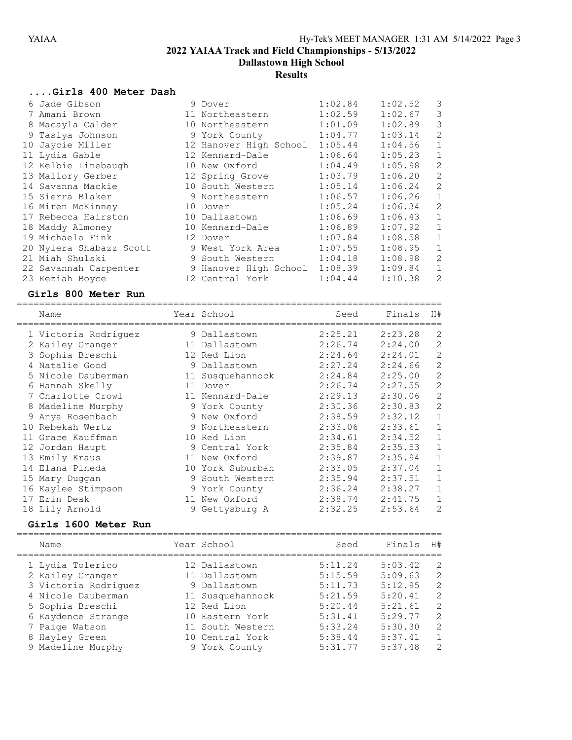Dallastown High School

#### Results

#### ....Girls 400 Meter Dash

| 6 Jade Gibson           | 9 Dover                | 1:02.84 | 1:02.52 | 3            |
|-------------------------|------------------------|---------|---------|--------------|
| 7 Amani Brown           | 11 Northeastern        | 1:02.59 | 1:02.67 | 3            |
| 8 Macayla Calder        | 10 Northeastern        | 1:01.09 | 1:02.89 | 3            |
| 9 Tasiya Johnson        | 9 York County          | 1:04.77 | 1:03.14 | 2            |
| 10 Jaycie Miller        | 12 Hanover High School | 1:05.44 | 1:04.56 | $\mathbf 1$  |
| 11 Lydia Gable          | 12 Kennard-Dale        | 1:06.64 | 1:05.23 | $\mathbf{1}$ |
| 12 Kelbie Linebaugh     | 10 New Oxford          | 1:04.49 | 1:05.98 | 2            |
| 13 Mallory Gerber       | 12 Spring Grove        | 1:03.79 | 1:06.20 | 2            |
| 14 Savanna Mackie       | 10 South Western       | 1:05.14 | 1:06.24 | 2            |
| 15 Sierra Blaker        | 9 Northeastern         | 1:06.57 | 1:06.26 | $\mathbf{1}$ |
| 16 Miren McKinney       | 10 Dover               | 1:05.24 | 1:06.34 | 2            |
| 17 Rebecca Hairston     | 10 Dallastown          | 1:06.69 | 1:06.43 | $\mathbf 1$  |
| 18 Maddy Almoney        | 10 Kennard-Dale        | 1:06.89 | 1:07.92 | $\mathbf{1}$ |
| 19 Michaela Fink        | 12 Dover               | 1:07.84 | 1:08.58 | $\mathbf{1}$ |
| 20 Nyiera Shabazz Scott | 9 West York Area       | 1:07.55 | 1:08.95 | $\mathbf 1$  |
| 21 Miah Shulski         | 9 South Western        | 1:04.18 | 1:08.98 | 2            |
| 22 Savannah Carpenter   | 9 Hanover High School  | 1:08.39 | 1:09.84 | $\mathbf 1$  |
| 23 Keziah Boyce         | 12 Central York        | 1:04.44 | 1:10.38 | 2            |

#### Girls 800 Meter Run ============================================================================

|   | Name                 | Year School      | Seed    | Finals  | H#             |
|---|----------------------|------------------|---------|---------|----------------|
|   | 1 Victoria Rodriquez | 9 Dallastown     | 2:25.21 | 2:23.28 | 2              |
|   | 2 Kailey Granger     | 11 Dallastown    | 2:26.74 | 2:24.00 | 2              |
|   | 3 Sophia Breschi     | 12 Red Lion      | 2:24.64 | 2:24.01 | $\mathbf{2}$   |
|   | 4 Natalie Good       | 9 Dallastown     | 2:27.24 | 2:24.66 | $\overline{c}$ |
|   | 5 Nicole Dauberman   | 11 Susquehannock | 2:24.84 | 2:25.00 | $\mathbf{2}$   |
|   | 6 Hannah Skelly      | 11 Dover         | 2:26.74 | 2:27.55 | $\overline{c}$ |
|   | 7 Charlotte Crowl    | 11 Kennard-Dale  | 2:29.13 | 2:30.06 | $\overline{c}$ |
|   | 8 Madeline Murphy    | 9 York County    | 2:30.36 | 2:30.83 | $\mathbf{2}$   |
| 9 | Anya Rosenbach       | 9 New Oxford     | 2:38.59 | 2:32.12 | $\mathbf 1$    |
|   | 10 Rebekah Wertz     | 9 Northeastern   | 2:33.06 | 2:33.61 | $\mathbf 1$    |
|   | 11 Grace Kauffman    | 10 Red Lion      | 2:34.61 | 2:34.52 | $\mathbf 1$    |
|   | 12 Jordan Haupt      | 9 Central York   | 2:35.84 | 2:35.53 | $\mathbf 1$    |
|   | 13 Emily Kraus       | 11 New Oxford    | 2:39.87 | 2:35.94 | $\mathbf 1$    |
|   | 14 Elana Pineda      | 10 York Suburban | 2:33.05 | 2:37.04 | $\mathbf 1$    |
|   | 15 Mary Duggan       | 9 South Western  | 2:35.94 | 2:37.51 | $\mathbf{1}$   |
|   | 16 Kaylee Stimpson   | 9 York County    | 2:36.24 | 2:38.27 | $\mathbf 1$    |
|   | 17 Erin Deak         | 11 New Oxford    | 2:38.74 | 2:41.75 | 1              |
|   | 18 Lily Arnold       | 9 Gettysburg A   | 2:32.25 | 2:53.64 | 2              |

#### Girls 1600 Meter Run

============================================================================ Name The Year School Seed Finals H# ============================================================================ 1 Lydia Tolerico 12 Dallastown 5:11.24 5:03.42 2 2 Kailey Granger 11 Dallastown 5:15.59 5:09.63 2 3 Victoria Rodriguez 9 Dallastown 5:11.73 5:12.95 2 4 Nicole Dauberman 11 Susquehannock 5:21.59 5:20.41 2 5 Sophia Breschi 12 Red Lion 5:20.44 5:21.61 2 6 Kaydence Strange 10 Eastern York 5:31.41 5:29.77 2 7 Paige Watson 11 South Western 5:33.24 5:30.30 2

 8 Hayley Green 10 Central York 5:38.44 5:37.41 1 9 Madeline Murphy 9 York County 5:31.77 5:37.48 2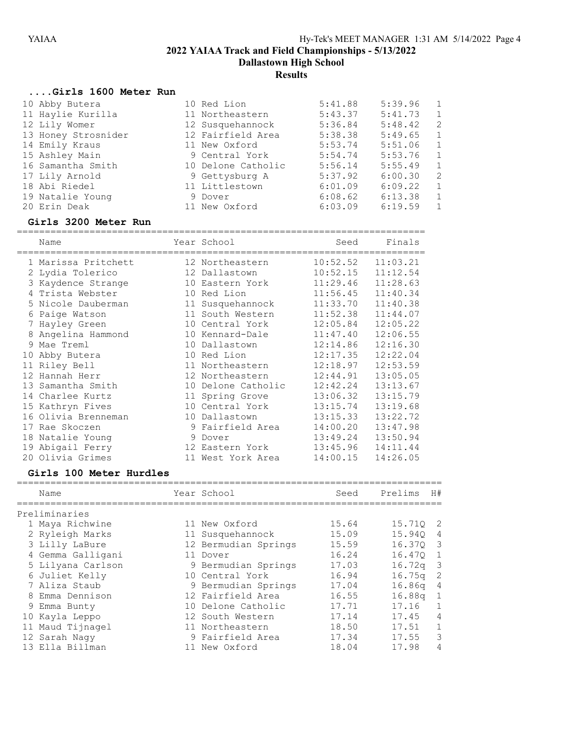Dallastown High School

# **Results**

### ....Girls 1600 Meter Run

| 10 Abby Butera      | 10 Red Lion        | 5:41.88 | 5:39.96 | 1              |
|---------------------|--------------------|---------|---------|----------------|
| 11 Haylie Kurilla   | 11 Northeastern    | 5:43.37 | 5:41.73 | 1              |
| 12 Lily Womer       | 12 Susquehannock   | 5:36.84 | 5:48.42 | -2             |
| 13 Honey Strosnider | 12 Fairfield Area  | 5:38.38 | 5:49.65 | 1              |
| 14 Emily Kraus      | 11 New Oxford      | 5:53.74 | 5:51.06 | 1              |
| 15 Ashley Main      | 9 Central York     | 5:54.74 | 5:53.76 | $\overline{1}$ |
| 16 Samantha Smith   | 10 Delone Catholic | 5:56.14 | 5:55.49 | 1              |
| 17 Lily Arnold      | 9 Gettysburg A     | 5:37.92 | 6:00.30 | -2             |
| 18 Abi Riedel       | 11 Littlestown     | 6:01.09 | 6:09.22 | 1              |
| 19 Natalie Young    | 9 Dover            | 6:08.62 | 6:13.38 | 1              |
| 20 Erin Deak        | 11 New Oxford      | 6:03.09 | 6:19.59 | $\mathbf{1}$   |

# Girls 3200 Meter Run

|    | Name                |    | Year School        | Seed     | Finals   |
|----|---------------------|----|--------------------|----------|----------|
|    | 1 Marissa Pritchett |    | 12 Northeastern    | 10:52.52 | 11:03.21 |
|    | 2 Lydia Tolerico    |    | 12 Dallastown      | 10:52.15 | 11:12.54 |
|    | 3 Kaydence Strange  |    | 10 Eastern York    | 11:29.46 | 11:28.63 |
|    | 4 Trista Webster    | 10 | Red Lion           | 11:56.45 | 11:40.34 |
|    | 5 Nicole Dauberman  |    | 11 Susquehannock   | 11:33.70 | 11:40.38 |
| 6  | Paige Watson        |    | 11 South Western   | 11:52.38 | 11:44.07 |
| 7  | Hayley Green        | 10 | Central York       | 12:05.84 | 12:05.22 |
| 8  | Angelina Hammond    |    | 10 Kennard-Dale    | 11:47.40 | 12:06.55 |
| 9  | Mae Treml           | 10 | Dallastown         | 12:14.86 | 12:16.30 |
| 10 | Abby Butera         |    | 10 Red Lion        | 12:17.35 | 12:22.04 |
|    | 11 Riley Bell       |    | 11 Northeastern    | 12:18.97 | 12:53.59 |
|    | 12 Hannah Herr      | 12 | Northeastern       | 12:44.91 | 13:05.05 |
|    | 13 Samantha Smith   |    | 10 Delone Catholic | 12:42.24 | 13:13.67 |
|    | 14 Charlee Kurtz    |    | 11 Spring Grove    | 13:06.32 | 13:15.79 |
|    | 15 Kathryn Fives    | 10 | Central York       | 13:15.74 | 13:19.68 |
|    | 16 Olivia Brenneman |    | 10 Dallastown      | 13:15.33 | 13:22.72 |
|    | 17 Rae Skoczen      |    | 9 Fairfield Area   | 14:00.20 | 13:47.98 |
|    | 18 Natalie Young    |    | 9 Dover            | 13:49.24 | 13:50.94 |
|    | 19 Abigail Ferry    |    | 12 Eastern York    | 13:45.96 | 14:11.44 |
|    | 20 Olivia Grimes    |    | 11 West York Area  | 14:00.15 | 14:26.05 |

### Girls 100 Meter Hurdles

| Name              | Year School          | Seed  | Prelims | H#             |
|-------------------|----------------------|-------|---------|----------------|
| Preliminaries     |                      |       |         |                |
| 1 Maya Richwine   | 11 New Oxford        | 15.64 | 15.710  | $\overline{2}$ |
| 2 Ryleigh Marks   | 11 Susquehannock     | 15.09 | 15.940  | 4              |
| 3 Lilly LaBure    | 12 Bermudian Springs | 15.59 | 16.370  | $\mathcal{E}$  |
| 4 Gemma Galligani | 11 Dover             | 16.24 | 16.470  | 1              |
| 5 Lilyana Carlson | 9 Bermudian Springs  | 17.03 | 16.72q  | $\overline{3}$ |
| 6 Juliet Kelly    | 10 Central York      | 16.94 | 16.75q  | -2             |
| 7 Aliza Staub     | 9 Bermudian Springs  | 17.04 | 16.86q  | -4             |
| 8 Emma Dennison   | 12 Fairfield Area    | 16.55 | 16.88q  | 1              |
| 9 Emma Bunty      | 10 Delone Catholic   | 17.71 | 17.16   | $\mathbf{1}$   |
| 10 Kayla Leppo    | 12 South Western     | 17.14 | 17.45   | $\overline{4}$ |
| 11 Maud Tijnagel  | 11 Northeastern      | 18.50 | 17.51   |                |
| 12 Sarah Nagy     | 9 Fairfield Area     | 17.34 | 17.55   | 3              |
| 13 Ella Billman   | 11 New Oxford        | 18.04 | 17.98   | 4              |
|                   |                      |       |         |                |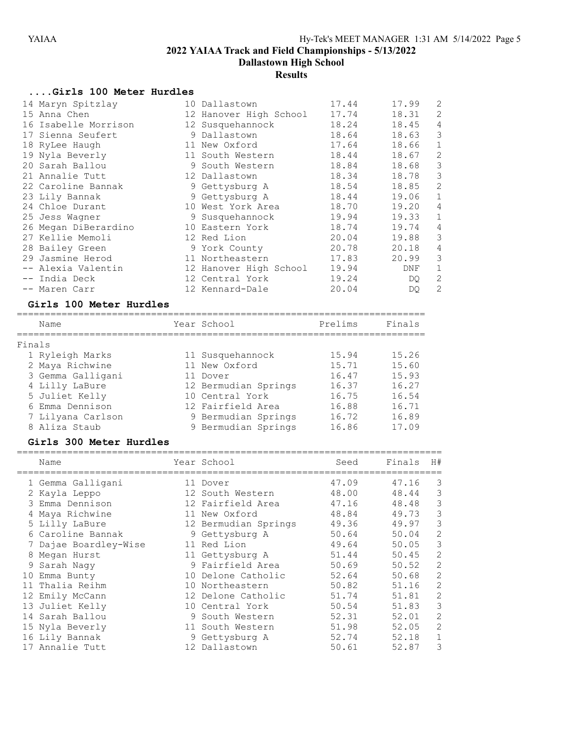Dallastown High School

# **Results**

# ....Girls 100 Meter Hurdles

| 14 Maryn Spitzlay    | 10 Dallastown          | 17.44 | 17.99 | 2              |
|----------------------|------------------------|-------|-------|----------------|
| 15 Anna Chen         | 12 Hanover High School | 17.74 | 18.31 | 2              |
| 16 Isabelle Morrison | 12 Susquehannock       | 18.24 | 18.45 | 4              |
| 17 Sienna Seufert    | 9 Dallastown           | 18.64 | 18.63 | 3              |
| 18 RyLee Haugh       | 11 New Oxford          | 17.64 | 18.66 | $\mathbf 1$    |
| 19 Nyla Beverly      | 11 South Western       | 18.44 | 18.67 | 2              |
| 20 Sarah Ballou      | 9 South Western        | 18.84 | 18.68 | 3              |
| 21 Annalie Tutt      | 12 Dallastown          | 18.34 | 18.78 | 3              |
| 22 Caroline Bannak   | 9 Gettysburg A         | 18.54 | 18.85 | 2              |
| 23 Lily Bannak       | 9 Gettysburg A         | 18.44 | 19.06 | $\mathbf 1$    |
| 24 Chloe Durant      | 10 West York Area      | 18.70 | 19.20 | 4              |
| 25 Jess Wagner       | 9 Susquehannock        | 19.94 | 19.33 | $\mathbf{1}$   |
| 26 Megan DiBerardino | 10 Eastern York        | 18.74 | 19.74 | 4              |
| 27 Kellie Memoli     | 12 Red Lion            | 20.04 | 19.88 | 3              |
| 28 Bailey Green      | 9 York County          | 20.78 | 20.18 | 4              |
| 29 Jasmine Herod     | 11 Northeastern        | 17.83 | 20.99 | 3              |
| -- Alexia Valentin   | 12 Hanover High School | 19.94 | DNF   | $\mathbf 1$    |
| -- India Deck        | 12 Central York        | 19.24 | DQ.   | 2              |
| -- Maren Carr        | 12 Kennard-Dale        | 20.04 | DQ    | $\overline{2}$ |

### Girls 100 Meter Hurdles

|        | Name              | Year School          | Prelims | Finals |
|--------|-------------------|----------------------|---------|--------|
| Finals |                   |                      |         |        |
|        | 1 Ryleigh Marks   | 11 Susquehannock     | 15.94   | 15.26  |
|        | 2 Maya Richwine   | 11 New Oxford        | 15.71   | 15.60  |
|        | 3 Gemma Galligani | 11 Dover             | 16.47   | 15.93  |
|        | 4 Lilly LaBure    | 12 Bermudian Springs | 16.37   | 16.27  |
|        | 5 Juliet Kelly    | 10 Central York      | 16.75   | 16.54  |
|        | 6 Emma Dennison   | 12 Fairfield Area    | 16.88   | 16.71  |
|        | 7 Lilyana Carlson | 9 Bermudian Springs  | 16.72   | 16.89  |
|        | 8 Aliza Staub     | 9 Bermudian Springs  | 16.86   | 17.09  |

# Girls 300 Meter Hurdles

| Name                  | Year School          | Seed  | Finals | H# |
|-----------------------|----------------------|-------|--------|----|
| 1 Gemma Galligani     | 11 Dover             | 47.09 | 47.16  | 3  |
| 2 Kayla Leppo         | 12 South Western     | 48.00 | 48.44  | 3  |
| 3 Emma Dennison       | 12 Fairfield Area    | 47.16 | 48.48  | 3  |
| 4 Maya Richwine       | 11 New Oxford        | 48.84 | 49.73  | 3  |
| 5 Lilly LaBure        | 12 Bermudian Springs | 49.36 | 49.97  | 3  |
| 6 Caroline Bannak     | 9 Gettysburg A       | 50.64 | 50.04  | 2  |
| 7 Dajae Boardley-Wise | 11 Red Lion          | 49.64 | 50.05  | 3  |
| 8 Megan Hurst         | 11 Gettysburg A      | 51.44 | 50.45  | 2  |
| 9 Sarah Nagy          | 9 Fairfield Area     | 50.69 | 50.52  | 2  |
| 10 Emma Bunty         | 10 Delone Catholic   | 52.64 | 50.68  | 2  |
| 11 Thalia Reihm       | 10 Northeastern      | 50.82 | 51.16  | 2  |
| 12 Emily McCann       | 12 Delone Catholic   | 51.74 | 51.81  | 2  |
| 13 Juliet Kelly       | 10 Central York      | 50.54 | 51.83  | 3  |
| 14 Sarah Ballou       | 9 South Western      | 52.31 | 52.01  | 2  |
| 15 Nyla Beverly       | 11 South Western     | 51.98 | 52.05  | 2  |
| 16 Lily Bannak        | 9 Gettysburg A       | 52.74 | 52.18  | 1  |
| 17 Annalie Tutt       | 12 Dallastown        | 50.61 | 52.87  | 3  |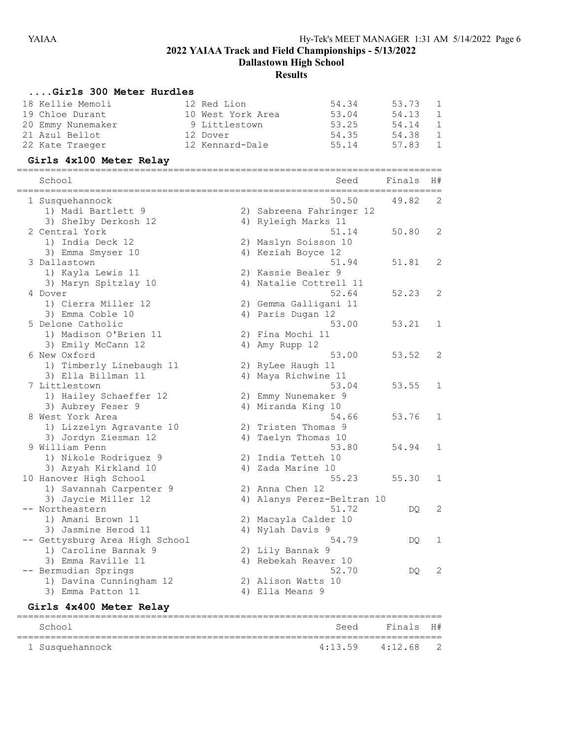Dallastown High School

# **Results**

### ....Girls 300 Meter Hurdles

|                | 18 Kellie Memoli  | 12 Red Lion       | 54.34 | 53.73 | -1             |
|----------------|-------------------|-------------------|-------|-------|----------------|
|                | 19 Chloe Durant   | 10 West York Area | 53.04 | 54.13 | 1              |
|                | 20 Emmy Nunemaker | 9 Littlestown     | 53.25 | 54.14 | $\overline{1}$ |
| 21 Azul Bellot |                   | 12 Dover          | 54.35 | 54.38 | $\overline{1}$ |
|                | 22 Kate Traeger   | 12 Kennard-Dale   | 55.14 | 57.83 | $\overline{1}$ |

# Girls 4x100 Meter Relay

| School<br>==================    |    | Seed                                       | Finals | H# |
|---------------------------------|----|--------------------------------------------|--------|----|
| 1 Susquehannock                 |    | 50.50                                      | 49.82  | 2  |
| 1) Madi Bartlett 9              |    | 2) Sabreena Fahringer 12                   |        |    |
| 3) Shelby Derkosh 12            |    | 4) Ryleigh Marks 11                        |        |    |
| 2 Central York                  |    | 51.14                                      | 50.80  | 2  |
| 1) India Deck 12                |    | 2) Maslyn Soisson 10                       |        |    |
| 3) Emma Smyser 10               |    | 4) Keziah Boyce 12                         |        |    |
| 3 Dallastown                    |    | 51.94                                      | 51.81  | 2  |
| 1) Kayla Lewis 11               |    | 2) Kassie Bealer 9                         |        |    |
| 3) Maryn Spitzlay 10<br>4 Dover |    | 4) Natalie Cottrell 11<br>52.64            | 52.23  | 2  |
| 1) Cierra Miller 12             |    |                                            |        |    |
| 3) Emma Coble 10                |    | 2) Gemma Galligani 11<br>4) Paris Dugan 12 |        |    |
| 5 Delone Catholic               |    | 53.00                                      | 53.21  | 1  |
| 1) Madison O'Brien 11           |    | 2) Fina Mochi 11                           |        |    |
| 3) Emily McCann 12              |    | 4) Amy Rupp 12                             |        |    |
| 6 New Oxford                    |    | 53.00                                      | 53.52  | 2  |
| 1) Timberly Linebaugh 11        |    | 2) RyLee Haugh 11                          |        |    |
| 3) Ella Billman 11              |    | 4) Maya Richwine 11                        |        |    |
| 7 Littlestown                   |    | 53.04                                      | 53.55  | 1  |
| 1) Hailey Schaeffer 12          |    | 2) Emmy Nunemaker 9                        |        |    |
| 3) Aubrey Feser 9               |    | 4) Miranda King 10                         |        |    |
| 8 West York Area                |    | 54.66                                      | 53.76  | 1  |
| 1) Lizzelyn Agravante 10        |    | 2) Tristen Thomas 9                        |        |    |
| 3) Jordyn Ziesman 12            | 4) | Taelyn Thomas 10                           |        |    |
| 9 William Penn                  |    | 53.80                                      | 54.94  | 1  |
| 1) Nikole Rodriquez 9           |    | 2) India Tetteh 10                         |        |    |
| 3) Azyah Kirkland 10            |    | 4) Zada Marine 10                          |        |    |
| 10 Hanover High School          |    | 55.23                                      | 55.30  | 1  |
| 1) Savannah Carpenter 9         |    | 2) Anna Chen 12                            |        |    |
| 3) Jaycie Miller 12             |    | 4) Alanys Perez-Beltran 10                 |        |    |
| -- Northeastern                 |    | 51.72                                      | DQ     | 2  |
| 1) Amani Brown 11               |    | 2) Macayla Calder 10                       |        |    |
| 3) Jasmine Herod 11             |    | 4) Nylah Davis 9                           |        |    |
| Gettysburg Area High School     |    | 54.79                                      | DO.    | 1  |
| 1) Caroline Bannak 9            |    | 2) Lily Bannak 9                           |        |    |
| 3) Emma Raville 11              |    | 4) Rebekah Reaver 10                       |        |    |
| -- Bermudian Springs            |    | 52.70                                      | DQ.    | 2  |
| 1) Davina Cunningham 12         |    | 2) Alison Watts 10                         |        |    |
| 3) Emma Patton 11               |    | 4) Ella Means 9                            |        |    |
| Girls 4x400 Meter Relay         |    |                                            |        |    |
|                                 |    |                                            |        |    |

School School Seed Finals H#

4:13.59 4:12.68 2

============================================================================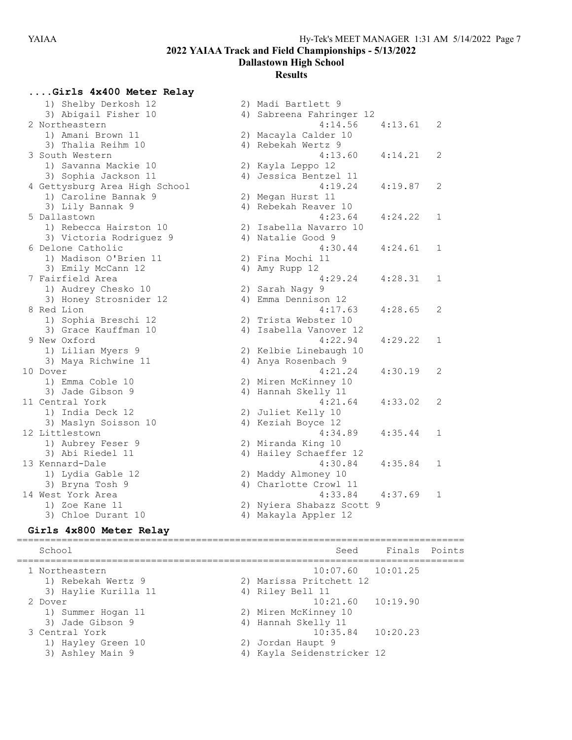#### Dallastown High School

#### **Results**

....Girls 4x400 Meter Relay

| 1) Shelby Derkosh 12<br>3) Abigail Fisher 10 | 4) Sabreena Fahringer 12  |         |   |
|----------------------------------------------|---------------------------|---------|---|
|                                              |                           |         |   |
| 2 Northeastern                               | 4:14.56                   | 4:13.61 | 2 |
| 1) Amani Brown 11                            | 2) Macayla Calder 10      |         |   |
| 3) Thalia Reihm 10                           | 4) Rebekah Wertz 9        |         |   |
| 3 South Western                              | 4:13.60                   | 4:14.21 | 2 |
| 1) Savanna Mackie 10                         | 2) Kayla Leppo 12         |         |   |
| 3) Sophia Jackson 11                         | 4) Jessica Bentzel 11     |         |   |
| 4 Gettysburg Area High School                | 4:19.24                   | 4:19.87 | 2 |
| 1) Caroline Bannak 9                         | 2) Megan Hurst 11         |         |   |
| 3) Lily Bannak 9                             | 4) Rebekah Reaver 10      |         |   |
| 5 Dallastown                                 | 4:23.64                   | 4:24.22 | 1 |
| 1) Rebecca Hairston 10                       | 2) Isabella Navarro 10    |         |   |
| 3) Victoria Rodriguez 9                      | 4) Natalie Good 9         |         |   |
| 6 Delone Catholic                            | 4:30.44                   | 4:24.61 | 1 |
| 1) Madison O'Brien 11                        | 2) Fina Mochi 11          |         |   |
| 3) Emily McCann 12                           | 4) Amy Rupp 12            |         |   |
| 7 Fairfield Area                             | 4:29.24                   | 4:28.31 | 1 |
| 1) Audrey Chesko 10                          | 2) Sarah Nagy 9           |         |   |
| 3) Honey Strosnider 12                       | 4) Emma Dennison 12       |         |   |
| 8 Red Lion                                   | 4:17.63                   | 4:28.65 | 2 |
| 1) Sophia Breschi 12                         | 2) Trista Webster 10      |         |   |
| 3) Grace Kauffman 10                         | 4) Isabella Vanover 12    |         |   |
| 9 New Oxford                                 | 4:22.94                   | 4:29.22 | 1 |
| 1) Lilian Myers 9                            | 2) Kelbie Linebaugh 10    |         |   |
| 3) Maya Richwine 11                          | 4) Anya Rosenbach 9       |         |   |
| 10 Dover                                     | 4:21.24                   | 4:30.19 | 2 |
| 1) Emma Coble 10                             | 2) Miren McKinney 10      |         |   |
| 3) Jade Gibson 9                             | 4) Hannah Skelly 11       |         |   |
| 11 Central York                              | 4:21.64                   | 4:33.02 | 2 |
| 1) India Deck 12                             | 2) Juliet Kelly 10        |         |   |
| 3) Maslyn Soisson 10                         | 4) Keziah Boyce 12        |         |   |
| 12 Littlestown                               | 4:34.89                   | 4:35.44 | 1 |
| 1) Aubrey Feser 9                            | 2) Miranda King 10        |         |   |
| 3) Abi Riedel 11                             | 4) Hailey Schaeffer 12    |         |   |
| 13 Kennard-Dale                              | 4:30.84                   | 4:35.84 | 1 |
| 1) Lydia Gable 12                            | 2) Maddy Almoney 10       |         |   |
| 3) Bryna Tosh 9                              | 4) Charlotte Crowl 11     |         |   |
| 14 West York Area                            | 4:33.84                   | 4:37.69 | 1 |
| 1) Zoe Kane 11                               | 2) Nyiera Shabazz Scott 9 |         |   |
| 3) Chloe Durant 10                           | 4) Makayla Appler 12      |         |   |

### Girls 4x800 Meter Relay

================================================================================ Seed Finals Points ================================================================================ 1 Northeastern 10:07.60 10:01.25 1) Rebekah Wertz 9 2) Marissa Pritchett 12 3) Haylie Kurilla 11  $\qquad \qquad$  4) Riley Bell 11 2 Dover 10:21.60 10:19.90 1) Summer Hogan 11 2) Miren McKinney 10 3) Jade Gibson 9 19 10 10 10 10 11 11 12 12 13 14 14 14 15 16 17 17 18 18 19 11 3 Central York 10:35.84 10:20.23 1) Hayley Green 10 2) Jordan Haupt 9 3) Ashley Main 9 4) Kayla Seidenstricker 12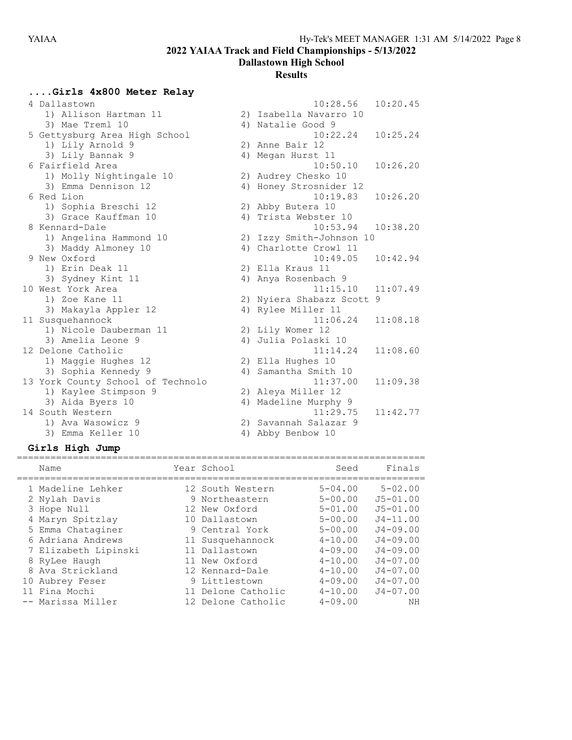Dallastown High School

#### **Results**

....Girls 4x800 Meter Relay 4 Dallastown 10:28.56 10:20.45 1) Allison Hartman 11 2) Isabella Navarro 10 3) Mae Treml 10 10 10 4) Natalie Good 9 5 Gettysburg Area High School 10:22.24 10:25.24 1) Lily Arnold 9 2) Anne Bair 12 3) Lily Bannak 9 4) Megan Hurst 11 6 Fairfield Area 10:50.10 10:26.20 1) Molly Nightingale 10 2) Audrey Chesko 10 3) Emma Dennison 12 4) Honey Strosnider 12 6 Red Lion 10:19.83 10:26.20 1) Sophia Breschi 12 2) Abby Butera 10 3) Grace Kauffman 10 4) Trista Webster 10 8 Kennard-Dale 10:53.94 10:38.20 1) Angelina Hammond 10 2) Izzy Smith-Johnson 10 3) Maddy Almoney 10 4) Charlotte Crowl 11 9 New Oxford 10:49.05 10:42.94 1) Erin Deak 11 2) Ella Kraus 11 3) Sydney Kint 11 4) Anya Rosenbach 9 10 West York Area 2012 11:07.49 1) Zoe Kane 11 2) Nyiera Shabazz Scott 9 3) Makayla Appler 12 (4) Rylee Miller 11 11 Susquehannock 11:06.24 11:08.18 1) Nicole Dauberman 11 2) Lily Womer 12 3) Amelia Leone 9 4) Julia Polaski 10 12 Delone Catholic 11:14.24 11:08.60 1) Maggie Hughes 12 2) Ella Hughes 10 3) Sophia Kennedy 9 4) Samantha Smith 10 13 York County School of Technolo 11:37.00 11:09.38 1) Kaylee Stimpson 9 2) Aleya Miller 12 3) Aida Byers 10 4) Madeline Murphy 9 14 South Western 11:29.75 11:42.77 1) Ava Wasowicz 9 2) Savannah Salazar 9 3) Emma Keller 10 4) Abby Benbow 10

#### Girls High Jump

| Name                 | Year School        | Seed        | Finals       |
|----------------------|--------------------|-------------|--------------|
| 1 Madeline Lehker    | 12 South Western   | $5 - 04.00$ | $5 - 02.00$  |
| 2 Nylah Davis        | 9 Northeastern     | $5 - 00.00$ | $J5 - 01.00$ |
| 3 Hope Null          | 12 New Oxford      | $5 - 01.00$ | $J5 - 01.00$ |
| 4 Maryn Spitzlay     | 10 Dallastown      | $5 - 00.00$ | $J4 - 11.00$ |
| 5 Emma Chataginer    | 9 Central York     | $5 - 00.00$ | $J4 - 09.00$ |
| 6 Adriana Andrews    | 11 Susquehannock   | $4 - 10.00$ | $J4 - 09.00$ |
| 7 Elizabeth Lipinski | 11 Dallastown      | $4 - 09.00$ | $J4 - 09.00$ |
| 8 RyLee Haugh        | 11 New Oxford      | $4 - 10.00$ | $J4 - 07.00$ |
| 8 Ava Strickland     | 12 Kennard-Dale    | $4 - 10.00$ | $J4 - 07.00$ |
| 10 Aubrey Feser      | 9 Littlestown      | $4 - 09.00$ | $J4 - 07.00$ |
| 11 Fina Mochi        | 11 Delone Catholic | $4 - 10.00$ | $J4 - 07.00$ |
| -- Marissa Miller    | 12 Delone Catholic | $4 - 09.00$ | NH           |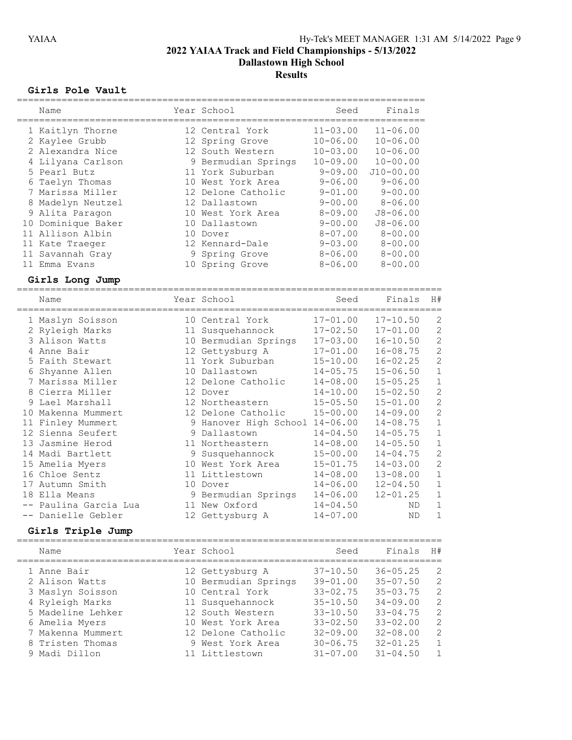Dallastown High School

# **Results**

## Girls Pole Vault

| Name                                                                                                                                                                                                                                                                                                                                                                                                 |              | Year School                                                                                                                                                                                                                                                                                                                                                                                          | Seed                                                                                                                                                                                                                                                                                                         | Finals                                                                                                                                                                                                                                                                                                   |                                                                                                                                                                                                                                                                                                                            |
|------------------------------------------------------------------------------------------------------------------------------------------------------------------------------------------------------------------------------------------------------------------------------------------------------------------------------------------------------------------------------------------------------|--------------|------------------------------------------------------------------------------------------------------------------------------------------------------------------------------------------------------------------------------------------------------------------------------------------------------------------------------------------------------------------------------------------------------|--------------------------------------------------------------------------------------------------------------------------------------------------------------------------------------------------------------------------------------------------------------------------------------------------------------|----------------------------------------------------------------------------------------------------------------------------------------------------------------------------------------------------------------------------------------------------------------------------------------------------------|----------------------------------------------------------------------------------------------------------------------------------------------------------------------------------------------------------------------------------------------------------------------------------------------------------------------------|
| =====================<br>1 Kaitlyn Thorne<br>2 Kaylee Grubb<br>2 Alexandra Nice<br>4 Lilyana Carlson<br>5 Pearl Butz<br>6 Taelyn Thomas<br>7 Marissa Miller                                                                                                                                                                                                                                          | ============ | 12 Central York<br>12 Spring Grove<br>12 South Western<br>9 Bermudian Springs<br>11 York Suburban<br>10 West York Area<br>12 Delone Catholic                                                                                                                                                                                                                                                         | $11 - 03.00$<br>$10 - 06.00$<br>$10 - 03.00$<br>$10 - 09.00$<br>$9 - 09.00$<br>$9 - 06.00$<br>$9 - 01.00$                                                                                                                                                                                                    | =========<br>$11 - 06.00$<br>$10 - 06.00$<br>$10 - 06.00$<br>$10 - 00.00$<br>$J10 - 00.00$<br>$9 - 06.00$<br>$9 - 00.00$                                                                                                                                                                                 |                                                                                                                                                                                                                                                                                                                            |
| 8 Madelyn Neutzel<br>9 Alita Paragon<br>10 Dominique Baker<br>11 Allison Albin<br>11 Kate Traeger<br>11 Savannah Gray<br>11 Emma Evans                                                                                                                                                                                                                                                               |              | 12 Dallastown<br>10 West York Area<br>10 Dallastown<br>10 Dover<br>12 Kennard-Dale<br>9 Spring Grove<br>10 Spring Grove                                                                                                                                                                                                                                                                              | $9 - 00.00$<br>$8 - 09.00$<br>$9 - 00.00$<br>$8 - 07.00$<br>$9 - 03.00$<br>$8 - 06.00$<br>$8 - 06.00$                                                                                                                                                                                                        | $8 - 06.00$<br>$J8 - 06.00$<br>$J8 - 06.00$<br>$8 - 00.00$<br>$8 - 00.00$<br>$8 - 00.00$<br>$8 - 00.00$                                                                                                                                                                                                  |                                                                                                                                                                                                                                                                                                                            |
| Girls Long Jump<br>Name                                                                                                                                                                                                                                                                                                                                                                              |              | Year School                                                                                                                                                                                                                                                                                                                                                                                          | Seed                                                                                                                                                                                                                                                                                                         | Finals                                                                                                                                                                                                                                                                                                   | H#                                                                                                                                                                                                                                                                                                                         |
| 1 Maslyn Soisson<br>2 Ryleigh Marks<br>3 Alison Watts<br>4 Anne Bair<br>5 Faith Stewart<br>6 Shyanne Allen<br>7 Marissa Miller<br>8 Cierra Miller<br>9 Lael Marshall<br>10 Makenna Mummert<br>11 Finley Mummert<br>12 Sienna Seufert<br>13 Jasmine Herod<br>14 Madi Bartlett<br>15 Amelia Myers<br>16 Chloe Sentz<br>17 Autumn Smith<br>18 Ella Means<br>-- Paulina Garcia Lua<br>-- Danielle Gebler |              | 10 Central York<br>11 Susquehannock<br>10 Bermudian Springs<br>12 Gettysburg A<br>11 York Suburban<br>10 Dallastown<br>12 Delone Catholic<br>12 Dover<br>12 Northeastern<br>12 Delone Catholic<br>9 Hanover High School 14-06.00<br>9 Dallastown<br>11 Northeastern<br>9 Susquehannock<br>10 West York Area<br>11 Littlestown<br>10 Dover<br>9 Bermudian Springs<br>11 New Oxford<br>12 Gettysburg A | $17 - 01.00$<br>$17 - 02.50$<br>$17 - 03.00$<br>$17 - 01.00$<br>$15 - 10.00$<br>$14 - 05.75$<br>$14 - 08.00$<br>$14 - 10.00$<br>$15 - 05.50$<br>$15 - 00.00$<br>$14 - 04.50$<br>$14 - 08.00$<br>$15 - 00.00$<br>$15 - 01.75$<br>$14 - 08.00$<br>$14 - 06.00$<br>$14 - 06.00$<br>$14 - 04.50$<br>$14 - 07.00$ | $17 - 10.50$<br>$17 - 01.00$<br>$16 - 10.50$<br>$16 - 08.75$<br>$16 - 02.25$<br>$15 - 06.50$<br>$15 - 05.25$<br>$15 - 02.50$<br>$15 - 01.00$<br>$14 - 09.00$<br>$14 - 08.75$<br>$14 - 05.75$<br>$14 - 05.50$<br>$14 - 04.75$<br>$14 - 03.00$<br>$13 - 08.00$<br>$12 - 04.50$<br>$12 - 01.25$<br>ΝD<br>ND | $\mathbf{2}$<br>$\overline{c}$<br>$\overline{c}$<br>$\overline{c}$<br>$\overline{c}$<br>$\mathbf 1$<br>$\,1\,$<br>$\overline{c}$<br>$\overline{c}$<br>$\overline{c}$<br>$1\,$<br>$\mathbf 1$<br>$\mathbf 1$<br>$\overline{c}$<br>$\overline{c}$<br>$\mathbf 1$<br>$\mathbf 1$<br>$\mathbf 1$<br>$\mathbf 1$<br>$\mathbf 1$ |
| Girls Triple Jump<br>Name                                                                                                                                                                                                                                                                                                                                                                            |              | Year School                                                                                                                                                                                                                                                                                                                                                                                          | Seed                                                                                                                                                                                                                                                                                                         | Finals                                                                                                                                                                                                                                                                                                   | H#                                                                                                                                                                                                                                                                                                                         |
| 1 Anne Bair<br>2 Alison Watts<br>3 Maslyn Soisson<br>Ryleigh Marks<br>4<br>5 Madeline Lehker<br>6 Amelia Myers<br>7 Makenna Mummert<br>Tristen Thomas<br>8<br>9 Madi Dillon                                                                                                                                                                                                                          |              | 12 Gettysburg A<br>10 Bermudian Springs<br>10 Central York<br>11 Susquehannock<br>12 South Western<br>10 West York Area<br>12 Delone Catholic<br>9 West York Area<br>11 Littlestown                                                                                                                                                                                                                  | $37 - 10.50$<br>$39 - 01.00$<br>$33 - 02.75$<br>$35 - 10.50$<br>$33 - 10.50$<br>$33 - 02.50$<br>$32 - 09.00$<br>$30 - 06.75$<br>$31 - 07.00$                                                                                                                                                                 | $36 - 05.25$<br>$35 - 07.50$<br>$35 - 03.75$<br>$34 - 09.00$<br>$33 - 04.75$<br>$33 - 02.00$<br>$32 - 08.00$<br>$32 - 01.25$<br>$31 - 04.50$                                                                                                                                                             | 2<br>$\overline{c}$<br>$\overline{c}$<br>$\begin{array}{c} 2 \\ 2 \\ 2 \end{array}$<br>$\overline{c}$<br>1<br>$\mathbf 1$                                                                                                                                                                                                  |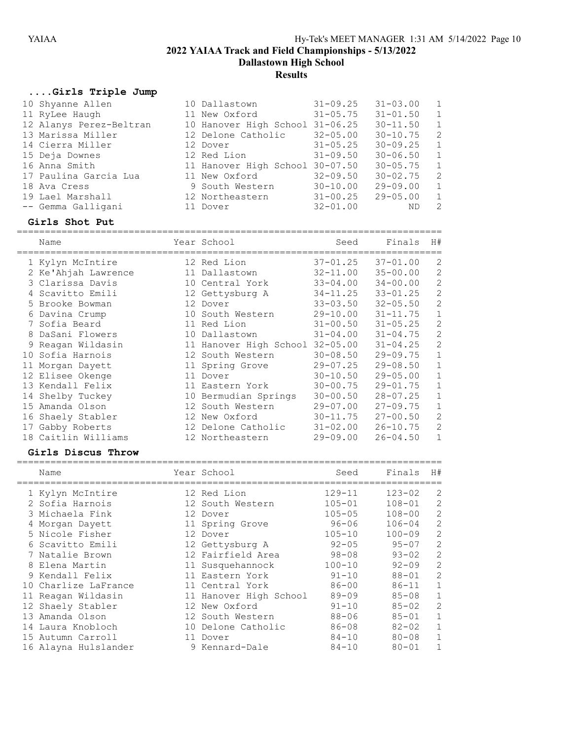Dallastown High School

# **Results**

# ....Girls Triple Jump

| -- Gemma Galligani      | 11 Dover                        | $32 - 01.00$ | ND.          |               |
|-------------------------|---------------------------------|--------------|--------------|---------------|
|                         |                                 |              |              | $\mathcal{L}$ |
| 19 Lael Marshall        | 12 Northeastern                 | $31 - 00.25$ | $29 - 05.00$ | $\mathbf{1}$  |
| 18 Ava Cress            | 9 South Western                 | $30 - 10.00$ | $29 - 09.00$ | $\mathbf{1}$  |
| 17 Paulina Garcia Lua   | 11 New Oxford                   | $32 - 09.50$ | $30 - 02.75$ | 2             |
| 16 Anna Smith           | 11 Hanover High School          | $30 - 07.50$ | $30 - 05.75$ | $\mathbf{1}$  |
| 15 Deja Downes          | 12 Red Lion                     | $31 - 09.50$ | $30 - 06.50$ | $\mathbf{1}$  |
| 14 Cierra Miller        | 12 Dover                        | $31 - 05.25$ | $30 - 09.25$ | $\mathbf{1}$  |
| 13 Marissa Miller       | 12 Delone Catholic              | $32 - 05.00$ | $30 - 10.75$ | 2             |
| 12 Alanys Perez-Beltran | 10 Hanover High School 31-06.25 |              | $30 - 11.50$ | $\mathbf{1}$  |
| 11 RyLee Haugh          | 11 New Oxford                   | $31 - 05.75$ | $31 - 01.50$ | $\mathbf{1}$  |
| 10 Shyanne Allen        | 10 Dallastown                   | $31 - 09.25$ | $31 - 03.00$ | $\mathbf{1}$  |

|   | Name                |    | Year School            | Seed         | Finals       | H#             |
|---|---------------------|----|------------------------|--------------|--------------|----------------|
|   | 1 Kylyn McIntire    |    | 12 Red Lion            | $37 - 01.25$ | $37 - 01.00$ | 2              |
|   | 2 Ke'Ahjah Lawrence |    | 11 Dallastown          | $32 - 11.00$ | $35 - 00.00$ | 2              |
|   | 3 Clarissa Davis    |    | 10 Central York        | $33 - 04.00$ | $34 - 00.00$ | 2              |
|   | 4 Scavitto Emili    |    | 12 Gettysburg A        | $34 - 11.25$ | $33 - 01.25$ | $\overline{2}$ |
|   | 5 Brooke Bowman     |    | 12 Dover               | $33 - 03.50$ | $32 - 05.50$ | $\mathbf{2}$   |
|   | 6 Davina Crump      |    | 10 South Western       | $29 - 10.00$ | $31 - 11.75$ | $\mathbf{1}$   |
|   | 7 Sofia Beard       |    | 11 Red Lion            | $31 - 00.50$ | $31 - 05.25$ | 2              |
|   | 8 DaSani Flowers    |    | 10 Dallastown          | $31 - 04.00$ | $31 - 04.75$ | $\overline{c}$ |
| 9 | Reagan Wildasin     |    | 11 Hanover High School | $32 - 05.00$ | $31 - 04.25$ | 2              |
|   | 10 Sofia Harnois    |    | 12 South Western       | $30 - 08.50$ | $29 - 09.75$ | $\mathbf 1$    |
|   | 11 Morgan Dayett    |    | 11 Spring Grove        | $29 - 07.25$ | $29 - 08.50$ | $\mathbf 1$    |
|   | 12 Elisee Okenge    | 11 | Dover                  | $30 - 10.50$ | $29 - 05.00$ | $\mathbf 1$    |
|   | 13 Kendall Felix    |    | 11 Eastern York        | $30 - 00.75$ | $29 - 01.75$ | $\mathbf{1}$   |
|   | 14 Shelby Tuckey    |    | 10 Bermudian Springs   | $30 - 00.50$ | $28 - 07.25$ | $\mathbf 1$    |
|   | 15 Amanda Olson     |    | 12 South Western       | $29 - 07.00$ | $27 - 09.75$ | $\mathbf{1}$   |
|   | 16 Shaely Stabler   |    | 12 New Oxford          | $30 - 11.75$ | $27 - 00.50$ | 2              |
|   | 17 Gabby Roberts    |    | 12 Delone Catholic     | $31 - 02.00$ | $26 - 10.75$ | $\mathbf{2}$   |
|   | 18 Caitlin Williams |    | 12 Northeastern        | $29 - 09.00$ | $26 - 04.50$ | $\mathbf 1$    |

### Girls Discus Throw

| Name                 | Year School            | Seed       | Finals     | H#             |
|----------------------|------------------------|------------|------------|----------------|
| 1 Kylyn McIntire     | 12 Red Lion            | $129 - 11$ | $123 - 02$ | 2              |
| 2 Sofia Harnois      | 12 South Western       | $105 - 01$ | $108 - 01$ | 2              |
| 3 Michaela Fink      | 12 Dover               | $105 - 05$ | $108 - 00$ | $\overline{2}$ |
| 4 Morgan Dayett      | 11 Spring Grove        | $96 - 06$  | $106 - 04$ | $\overline{2}$ |
| 5 Nicole Fisher      | 12 Dover               | $105 - 10$ | $100 - 09$ | 2              |
| 6 Scavitto Emili     | 12 Gettysburg A        | $92 - 05$  | $95 - 07$  | $\overline{2}$ |
| 7 Natalie Brown      | 12 Fairfield Area      | $98 - 08$  | $93 - 02$  | 2              |
| 8 Elena Martin       | 11 Susquehannock       | $100 - 10$ | $92 - 09$  | 2              |
| 9 Kendall Felix      | 11 Eastern York        | $91 - 10$  | $88 - 01$  | 2              |
| 10 Charlize LaFrance | 11 Central York        | $86 - 00$  | $86 - 11$  |                |
| 11 Reagan Wildasin   | 11 Hanover High School | $89 - 09$  | $85 - 08$  |                |
| 12 Shaely Stabler    | 12 New Oxford          | $91 - 10$  | $85 - 02$  | 2              |
| 13 Amanda Olson      | 12 South Western       | $88 - 06$  | $85 - 01$  | 1              |
| 14 Laura Knobloch    | Delone Catholic        | $86 - 08$  | $82 - 02$  |                |
| 15 Autumn Carroll    | 11 Dover               | $84 - 10$  | $80 - 08$  |                |
| 16 Alayna Hulslander | 9 Kennard-Dale         | $84 - 10$  | $80 - 01$  |                |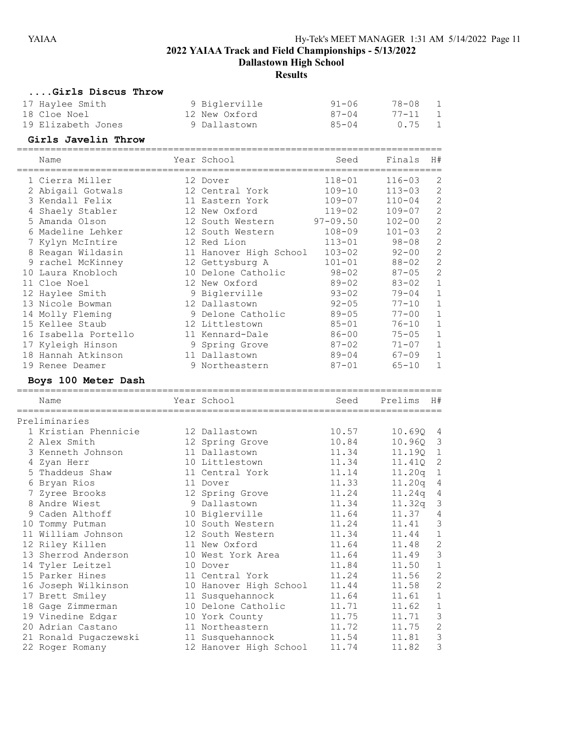Dallastown High School

**Results** 

### ....Girls Discus Throw

| 17 Haylee Smith    | 9 Biglerville | 91-06 | 78-08 |                |
|--------------------|---------------|-------|-------|----------------|
| 18 Cloe Noel       | 12 New Oxford | 87-04 | 77-11 | $\overline{1}$ |
| 19 Elizabeth Jones | 9 Dallastown  | 85-04 | 0.75  |                |

# Girls Javelin Throw

|   | Name                 | Year School            | Seed         | Finals         | H#             |
|---|----------------------|------------------------|--------------|----------------|----------------|
|   | 1 Cierra Miller      | 12 Dover               | $118 - 01$   | $116 - 03$     | $\overline{2}$ |
|   | 2 Abigail Gotwals    | 12 Central York        | $109 - 10$   | $113 - 03$     | $\overline{c}$ |
|   | 3 Kendall Felix      | 11 Eastern York        | $109 - 07$   | $110 - 04$     | $\overline{c}$ |
|   | 4 Shaely Stabler     | 12 New Oxford          | $119 - 02$   | $109 - 07$     | $\overline{c}$ |
|   | 5 Amanda Olson       | 12 South Western       | $97 - 09.50$ | $102 - 00$     | $\overline{c}$ |
|   | 6 Madeline Lehker    | 12 South Western       | $108 - 09$   | $101 - 03$     | $\overline{c}$ |
|   | 7 Kylyn McIntire     | 12 Red Lion            | $113 - 01$   | $98 - 08$      | $\overline{c}$ |
|   | 8 Reagan Wildasin    | 11 Hanover High School | $103 - 02$   | $92 - 00$      | $\overline{c}$ |
| 9 | rachel McKinney      | 12 Gettysburg A        | $101 - 01$   | $88 - 02$      | $\overline{c}$ |
|   | 10 Laura Knobloch    | 10 Delone Catholic     | $98 - 02$    | $87 - 05$      | $\overline{c}$ |
|   | 11 Cloe Noel         | 12 New Oxford          | $89 - 02$    | $83 - 02$      | $1\,$          |
|   | 12 Haylee Smith      | 9 Biglerville          | $93 - 02$    | $79 - 04$      | $1\,$          |
|   | 13 Nicole Bowman     | 12 Dallastown          | $92 - 05$    | $77 - 10$      | $1\,$          |
|   | 14 Molly Fleming     | 9 Delone Catholic      | $89 - 05$    | $77 - 00$      | $1\,$          |
|   | 15 Kellee Staub      | 12 Littlestown         | $85 - 01$    | $76 - 10$      | $\mathbf 1$    |
|   | 16 Isabella Portello | 11 Kennard-Dale        | $86 - 00$    | $75 - 05$      | $1\,$          |
|   | 17 Kyleigh Hinson    | 9 Spring Grove         | $87 - 02$    | $71 - 07$      | $\mathbf 1$    |
|   | 18 Hannah Atkinson   | 11 Dallastown          | $89 - 04$    | $67 - 09$      | $\mathbf 1$    |
|   | 19 Renee Deamer      | 9 Northeastern         | $87 - 01$    | $65 - 10$      | $\mathbf{1}$   |
|   | Boys 100 Meter Dash  |                        |              |                |                |
|   | Name                 | Year School            | Seed         | Prelims        | H#             |
|   | Preliminaries        |                        |              |                |                |
|   | 1 Kristian Phennicie | 12 Dallastown          | 10.57        | 10.69Q         | - 4            |
|   | 2 Alex Smith         | 12 Spring Grove        | 10.84        | 10.960         | 3              |
|   | 3 Kenneth Johnson    | 11 Dallastown          | 11.34        | 11.19Q         | $\mathbf{1}$   |
| 4 | Zyan Herr            | 10 Littlestown         | 11.34        | 11.41Q         | $\overline{c}$ |
|   | 5 Thaddeus Shaw      | 11 Central York        | 11.14        | 11.20 $\sigma$ | $\overline{1}$ |

| Z Alex Smith          | IZ Spring Grove        | 10.84 | 10.Y6Q     | ు              |
|-----------------------|------------------------|-------|------------|----------------|
| 3 Kenneth Johnson     | 11 Dallastown          | 11.34 | 11.19Q 1   |                |
| 4 Zyan Herr           | 10 Littlestown         | 11.34 | 11.410 2   |                |
| 5 Thaddeus Shaw       | 11 Central York        | 11.14 | $11.20q$ 1 |                |
| 6 Bryan Rios          | 11 Dover               | 11.33 | $11.20q$ 4 |                |
| 7 Zyree Brooks        | 12 Spring Grove        | 11.24 | 11.24q 4   |                |
| 8 Andre Wiest         | 9 Dallastown           | 11.34 | $11.32q$ 3 |                |
| 9 Caden Althoff       | 10 Biglerville         | 11.64 | 11.37      | 4              |
| 10 Tommy Putman       | 10 South Western       | 11.24 | 11.41      | 3              |
| 11 William Johnson    | 12 South Western       | 11.34 | 11.44      | $\mathbf{1}$   |
| 12 Riley Killen       | 11 New Oxford          | 11.64 | 11.48      | $\mathbf{2}$   |
| 13 Sherrod Anderson   | 10 West York Area      | 11.64 | 11.49      | 3              |
| 14 Tyler Leitzel      | 10 Dover               | 11.84 | 11.50      | $\mathbf{1}$   |
| 15 Parker Hines       | 11 Central York        | 11.24 | 11.56      | $\overline{c}$ |
| 16 Joseph Wilkinson   | 10 Hanover High School | 11.44 | 11.58      | 2              |
| 17 Brett Smiley       | 11 Susquehannock       | 11.64 | 11.61      | $\mathbf{1}$   |
| 18 Gage Zimmerman     | 10 Delone Catholic     | 11.71 | 11.62      | $\mathbf 1$    |
| 19 Vinedine Edgar     | 10 York County         | 11.75 | 11.71      | 3              |
| 20 Adrian Castano     | 11 Northeastern        | 11.72 | 11.75      | 2              |
| 21 Ronald Pugaczewski | 11 Susquehannock 11.54 |       | 11.81      | 3              |
| 22 Roger Romany       | 12 Hanover High School | 11.74 | 11.82      | 3              |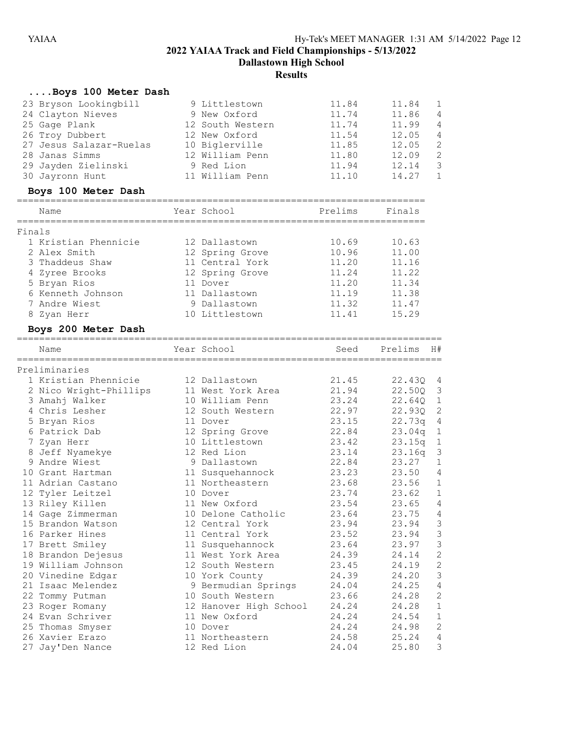Dallastown High School

**Results** 

|        | Boys 100 Meter Dash     |                        |         |         |                |
|--------|-------------------------|------------------------|---------|---------|----------------|
|        | 23 Bryson Lookingbill   | 9 Littlestown          | 11.84   | 11.84   | 1              |
|        | 24 Clayton Nieves       | 9 New Oxford           | 11.74   | 11.86   | 4              |
|        | 25 Gage Plank           | 12 South Western       | 11.74   | 11.99   | 4              |
|        |                         | 12 New Oxford          | 11.54   | 12.05   | $\sqrt{4}$     |
|        | 26 Troy Dubbert         |                        | 11.85   |         | $\mathbf{2}$   |
|        | 27 Jesus Salazar-Ruelas | 10 Biglerville         |         | 12.05   |                |
|        | 28 Janas Simms          | 12 William Penn        | 11.80   | 12.09   | $\overline{c}$ |
|        | 29 Jayden Zielinski     | 9 Red Lion             | 11.94   | 12.14   | 3              |
|        | 30 Jayronn Hunt         | 11 William Penn        | 11.10   | 14.27   | $\mathbf{1}$   |
|        | Boys 100 Meter Dash     |                        |         |         |                |
|        | Name                    | Year School            | Prelims | Finals  |                |
| Finals |                         |                        |         |         |                |
|        | 1 Kristian Phennicie    | 12 Dallastown          | 10.69   | 10.63   |                |
|        | 2 Alex Smith            | 12 Spring Grove        | 10.96   | 11.00   |                |
|        | 3 Thaddeus Shaw         | 11 Central York        | 11.20   | 11.16   |                |
|        | 4 Zyree Brooks          | 12 Spring Grove        | 11.24   | 11.22   |                |
|        | 5 Bryan Rios            | 11 Dover               | 11.20   | 11.34   |                |
|        | 6 Kenneth Johnson       | 11 Dallastown          | 11.19   | 11.38   |                |
|        | 7 Andre Wiest           | 9 Dallastown           | 11.32   | 11.47   |                |
|        | 8 Zyan Herr             | 10 Littlestown         | 11.41   | 15.29   |                |
|        | Boys 200 Meter Dash     |                        |         |         |                |
|        |                         | Year School            | Seed    | Prelims | H#             |
|        | Name                    |                        |         |         |                |
|        | Preliminaries           |                        |         |         |                |
|        | 1 Kristian Phennicie    | 12 Dallastown          | 21.45   | 22.43Q  | 4              |
|        | 2 Nico Wright-Phillips  | 11 West York Area      | 21.94   | 22.50Q  | 3              |
|        | 3 Amahj Walker          | 10 William Penn        | 23.24   | 22.64Q  | $\mathbf{1}$   |
|        | 4 Chris Lesher          | 12 South Western       | 22.97   | 22.93Q  | $\mathbf{2}$   |
|        | 5 Bryan Rios            | 11 Dover               | 23.15   | 22.73q  | $\sqrt{4}$     |
|        | 6 Patrick Dab           | 12 Spring Grove        | 22.84   | 23.04q  | $\mathbf{1}$   |
|        | 7 Zyan Herr             | 10 Littlestown         | 23.42   | 23.15q  | $\mathbf{1}$   |
|        | 8 Jeff Nyamekye         | 12 Red Lion            | 23.14   | 23.16q  | 3              |
|        | 9 Andre Wiest           | 9 Dallastown           | 22.84   | 23.27   | 1              |
|        | 10 Grant Hartman        | 11 Susquehannock       | 23.23   | 23.50   | $\overline{4}$ |
|        | 11 Adrian Castano       | 11 Northeastern        | 23.68   | 23.56   | $\mathbf{1}$   |
|        | 12 Tyler Leitzel        | 10 Dover               | 23.74   | 23.62   | $\mathbf{1}$   |
|        | 13 Riley Killen         | 11 New Oxford          | 23.54   | 23.65 4 |                |
|        | 14 Gage Zimmerman       | 10 Delone Catholic     | 23.64   | 23.75   | 4              |
|        | 15 Brandon Watson       | 12 Central York        | 23.94   | 23.94   | 3              |
|        | 16 Parker Hines         | 11 Central York        | 23.52   | 23.94   | $\mathsf 3$    |
|        | 17 Brett Smiley         | 11 Susquehannock       | 23.64   | 23.97   | $\mathsf 3$    |
|        | 18 Brandon Dejesus      | 11 West York Area      | 24.39   | 24.14   | $\sqrt{2}$     |
|        | 19 William Johnson      | 12 South Western       | 23.45   | 24.19   | $\sqrt{2}$     |
|        | 20 Vinedine Edgar       | 10 York County         | 24.39   | 24.20   | 3              |
|        | 21 Isaac Melendez       | 9 Bermudian Springs    | 24.04   | 24.25   | 4              |
|        | 22 Tommy Putman         | 10 South Western       | 23.66   | 24.28   | $\sqrt{2}$     |
|        | 23 Roger Romany         | 12 Hanover High School | 24.24   | 24.28   | $\mathbf 1$    |
|        | 24 Evan Schriver        | 11 New Oxford          | 24.24   | 24.54   | $\mathbf 1$    |
|        | 25 Thomas Smyser        | 10 Dover               | 24.24   | 24.98   | $\sqrt{2}$     |
|        | 26 Xavier Erazo         | 11 Northeastern        | 24.58   | 25.24   | 4              |
|        | 27 Jay'Den Nance        | 12 Red Lion            | 24.04   | 25.80   | 3              |
|        |                         |                        |         |         |                |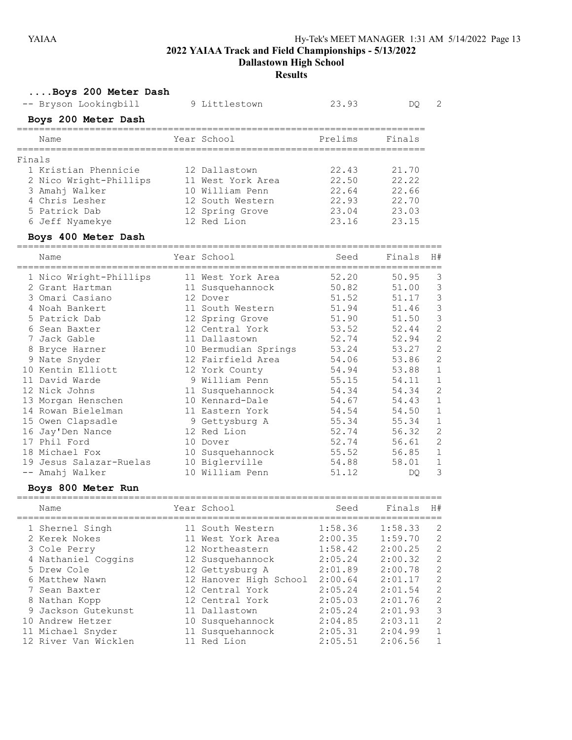Dallastown High School

### Results

| Boys 200 Meter Dash                    |                        |         |         |                |
|----------------------------------------|------------------------|---------|---------|----------------|
| -- Bryson Lookingbill                  | 9 Littlestown          | 23.93   | DQ.     | 2              |
| Boys 200 Meter Dash                    |                        |         |         |                |
| Name                                   | Year School            | Prelims | Finals  |                |
| Finals                                 |                        |         |         |                |
| 1 Kristian Phennicie                   | 12 Dallastown          | 22.43   | 21.70   |                |
| 2 Nico Wright-Phillips                 | 11 West York Area      | 22.50   | 22.22   |                |
| 3 Amahj Walker                         | 10 William Penn        | 22.64   | 22.66   |                |
| 4 Chris Lesher                         | 12 South Western       | 22.93   | 22.70   |                |
| 5 Patrick Dab                          | 12 Spring Grove        | 23.04   | 23.03   |                |
| 6 Jeff Nyamekye                        | 12 Red Lion            | 23.16   | 23.15   |                |
| Boys 400 Meter Dash                    |                        |         |         |                |
| Name                                   | Year School            | Seed    | Finals  | H#             |
| 1 Nico Wright-Phillips                 | 11 West York Area      | 52.20   | 50.95   | 3              |
| 2 Grant Hartman                        | 11 Susquehannock       | 50.82   | 51.00   | 3              |
| 3 Omari Casiano                        | 12 Dover               | 51.52   | 51.17   | 3              |
| 4 Noah Bankert                         | 11 South Western       | 51.94   | 51.46   | 3              |
| 5 Patrick Dab                          | 12 Spring Grove        | 51.90   | 51.50   | 3              |
| 6 Sean Baxter                          | 12 Central York        | 53.52   | 52.44   | $\overline{c}$ |
| 7 Jack Gable                           | 11 Dallastown          | 52.74   | 52.94   | $\overline{c}$ |
| 8 Bryce Harner                         | 10 Bermudian Springs   | 53.24   | 53.27   | $\overline{c}$ |
| 9 Nate Snyder                          | 12 Fairfield Area      | 54.06   | 53.86   | $\overline{c}$ |
| 10 Kentin Elliott                      | 12 York County         | 54.94   | 53.88   | $\mathbf 1$    |
| 11 David Warde                         | 9 William Penn         | 55.15   | 54.11   | $\mathbf 1$    |
| 12 Nick Johns                          | 11 Susquehannock       | 54.34   | 54.34   | $\overline{c}$ |
| 13 Morgan Henschen                     | 10 Kennard-Dale        | 54.67   | 54.43   | 1              |
| 14 Rowan Bielelman                     | 11 Eastern York        | 54.54   | 54.50   | $\mathbf 1$    |
| 15 Owen Clapsadle                      | 9 Gettysburg A         | 55.34   | 55.34   | 1              |
| 16 Jay'Den Nance                       | 12 Red Lion            | 52.74   | 56.32   | $\overline{c}$ |
| 17 Phil Ford                           | 10 Dover               | 52.74   | 56.61   | $\overline{c}$ |
| 18 Michael Fox                         | 10 Susquehannock       | 55.52   | 56.85   | 1              |
| 19 Jesus Salazar-Ruelas                | 10 Biglerville         | 54.88   | 58.01   | 1              |
| -- Amahj Walker                        | 10 William Penn        | 51.12   | DQ.     | 3              |
| Boys 800 Meter Run                     |                        |         |         |                |
| Name<br>------------------------------ | Year School            | Seed    | Finals  | H#             |
| 1 Shernel Singh                        | 11 South Western       | 1:58.36 | 1:58.33 | 2              |
| 2 Kerek Nokes                          | 11 West York Area      | 2:00.35 | 1:59.70 | $\overline{c}$ |
| 3 Cole Perry                           | 12 Northeastern        | 1:58.42 | 2:00.25 | $\overline{c}$ |
| 4 Nathaniel Coggins                    | 12 Susquehannock       | 2:05.24 | 2:00.32 | $\overline{c}$ |
| 5 Drew Cole                            | 12 Gettysburg A        | 2:01.89 | 2:00.78 | $\overline{c}$ |
| 6 Matthew Nawn                         | 12 Hanover High School | 2:00.64 | 2:01.17 | $\overline{c}$ |
| 7 Sean Baxter                          | 12 Central York        | 2:05.24 | 2:01.54 | $\sqrt{2}$     |
| 8 Nathan Kopp                          | 12 Central York        | 2:05.03 | 2:01.76 | $\overline{c}$ |
| 9 Jackson Gutekunst                    | 11 Dallastown          | 2:05.24 | 2:01.93 | $\mathfrak{Z}$ |
| 10 Andrew Hetzer                       | 10 Susquehannock       | 2:04.85 | 2:03.11 | $\overline{c}$ |
| 11 Michael Snyder                      | 11 Susquehannock       | 2:05.31 | 2:04.99 | 1              |
| 12 River Van Wicklen                   | 11 Red Lion            | 2:05.51 | 2:06.56 | 1              |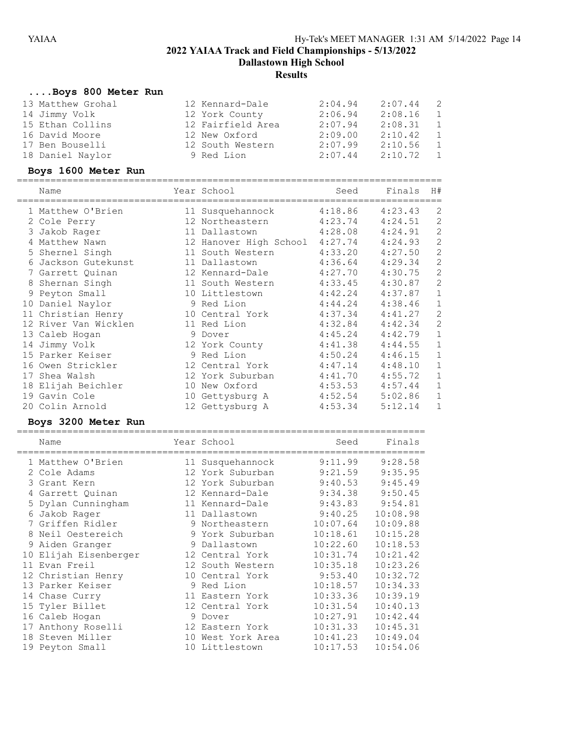Dallastown High School

# **Results**

# ....Boys 800 Meter Run

| 13 Matthew Grohal | 12 Kennard-Dale   | 2:04.94 | 2:07.44 | - 2            |
|-------------------|-------------------|---------|---------|----------------|
| 14 Jimmy Volk     | 12 York County    | 2:06.94 | 2:08.16 | $\overline{1}$ |
| 15 Ethan Collins  | 12 Fairfield Area | 2:07.94 | 2:08.31 | $\overline{1}$ |
| 16 David Moore    | 12 New Oxford     | 2:09.00 | 2:10.42 | $\overline{1}$ |
| 17 Ben Bouselli   | 12 South Western  | 2:07.99 | 2:10.56 | $\overline{1}$ |
| 18 Daniel Naylor  | 9 Red Lion        | 2:07.44 | 2:10.72 | $\overline{1}$ |

# Boys 1600 Meter Run

|   | Name                 |    | Year School            | Seed    | Finals  | H#             |
|---|----------------------|----|------------------------|---------|---------|----------------|
|   | 1 Matthew O'Brien    |    | 11 Susquehannock       | 4:18.86 | 4:23.43 | 2              |
|   | 2 Cole Perry         |    | 12 Northeastern        | 4:23.74 | 4:24.51 | $\mathbf{2}$   |
|   | 3 Jakob Rager        |    | 11 Dallastown          | 4:28.08 | 4:24.91 | 2              |
|   | Matthew Nawn         |    | 12 Hanover High School | 4:27.74 | 4:24.93 | $\mathbf{2}$   |
|   | 5 Shernel Singh      |    | 11 South Western       | 4:33.20 | 4:27.50 | $\overline{c}$ |
| 6 | Jackson Gutekunst    |    | 11 Dallastown          | 4:36.64 | 4:29.34 | $\mathbf{2}$   |
|   | 7 Garrett Quinan     |    | 12 Kennard-Dale        | 4:27.70 | 4:30.75 | $\overline{2}$ |
|   | 8 Shernan Singh      |    | 11 South Western       | 4:33.45 | 4:30.87 | $\mathbf{2}$   |
|   | 9 Peyton Small       |    | 10 Littlestown         | 4:42.24 | 4:37.87 | $\mathbf{1}$   |
|   | 10 Daniel Naylor     |    | 9 Red Lion             | 4:44.24 | 4:38.46 | $\mathbf 1$    |
|   | 11 Christian Henry   |    | 10 Central York        | 4:37.34 | 4:41.27 | $\overline{c}$ |
|   | 12 River Van Wicklen |    | 11 Red Lion            | 4:32.84 | 4:42.34 | $\mathbf{2}$   |
|   | 13 Caleb Hogan       |    | 9 Dover                | 4:45.24 | 4:42.79 | $\mathbf 1$    |
|   | 14 Jimmy Volk        |    | 12 York County         | 4:41.38 | 4:44.55 | $\mathbf 1$    |
|   | 15 Parker Keiser     |    | 9 Red Lion             | 4:50.24 | 4:46.15 | $\mathbf{1}$   |
|   | 16 Owen Strickler    |    | 12 Central York        | 4:47.14 | 4:48.10 | $1\,$          |
|   | 17 Shea Walsh        |    | 12 York Suburban       | 4:41.70 | 4:55.72 | $\mathbf 1$    |
|   | 18 Elijah Beichler   | 10 | New Oxford             | 4:53.53 | 4:57.44 | $\mathbf 1$    |
|   | 19 Gavin Cole        | 10 | Gettysburg A           | 4:52.54 | 5:02.86 | $\mathbf 1$    |
|   | 20 Colin Arnold      |    | 12 Gettysburg A        | 4:53.34 | 5:12.14 | 1              |

# Boys 3200 Meter Run

|   | Name                  |    | Year School      | Seed     | Finals   |
|---|-----------------------|----|------------------|----------|----------|
|   | 1 Matthew O'Brien     |    | 11 Susquehannock | 9:11.99  | 9:28.58  |
|   | 2 Cole Adams          |    | 12 York Suburban | 9:21.59  | 9:35.95  |
|   | 3 Grant Kern          |    | 12 York Suburban | 9:40.53  | 9:45.49  |
|   | 4 Garrett Quinan      |    | 12 Kennard-Dale  | 9:34.38  | 9:50.45  |
|   | 5 Dylan Cunningham    |    | 11 Kennard-Dale  | 9:43.83  | 9:54.81  |
|   | 6 Jakob Rager         |    | 11 Dallastown    | 9:40.25  | 10:08.98 |
|   | 7 Griffen Ridler      |    | 9 Northeastern   | 10:07.64 | 10:09.88 |
| 8 | Neil Oestereich       |    | 9 York Suburban  | 10:18.61 | 10:15.28 |
|   | 9 Aiden Granger       |    | 9 Dallastown     | 10:22.60 | 10:18.53 |
|   | 10 Elijah Eisenberger |    | 12 Central York  | 10:31.74 | 10:21.42 |
|   | 11 Evan Freil         |    | 12 South Western | 10:35.18 | 10:23.26 |
|   | 12 Christian Henry    |    | 10 Central York  | 9:53.40  | 10:32.72 |
|   | 13 Parker Keiser      |    | 9 Red Lion       | 10:18.57 | 10:34.33 |
|   | 14 Chase Curry        |    | 11 Eastern York  | 10:33.36 | 10:39.19 |
|   | 15 Tyler Billet       |    | 12 Central York  | 10:31.54 | 10:40.13 |
|   | 16 Caleb Hogan        |    | 9 Dover          | 10:27.91 | 10:42.44 |
|   | 17 Anthony Roselli    |    | 12 Eastern York  | 10:31.33 | 10:45.31 |
|   | 18 Steven Miller      | 10 | West York Area   | 10:41.23 | 10:49.04 |
|   | 19 Peyton Small       | 10 | Littlestown      | 10:17.53 | 10:54.06 |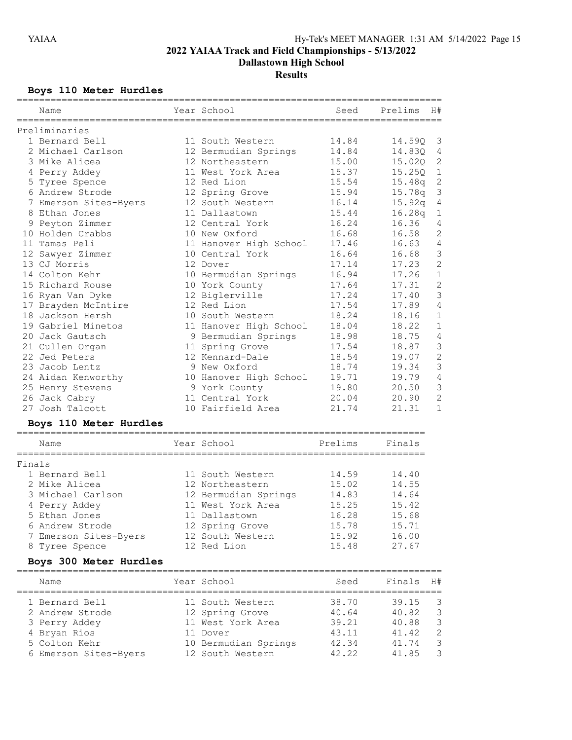Dallastown High School

# **Results**

# Boys 110 Meter Hurdles

|        | ===========<br>Name    | Year School            | Seed    | ===========<br>Prelims<br>H# |                |
|--------|------------------------|------------------------|---------|------------------------------|----------------|
|        | Preliminaries          |                        |         |                              |                |
|        | 1 Bernard Bell         | 11 South Western       | 14.84   | 14.59Q<br>3                  |                |
|        | 2 Michael Carlson      | 12 Bermudian Springs   | 14.84   | $\overline{4}$<br>14.83Q     |                |
|        | 3 Mike Alicea          | 12 Northeastern        | 15.00   | 15.020                       | 2              |
|        | 4 Perry Addey          | 11 West York Area      | 15.37   | 15.25Q                       | $\mathbf 1$    |
|        | 5 Tyree Spence         | 12 Red Lion            | 15.54   | 15.48q                       | $\sqrt{2}$     |
|        | 6 Andrew Strode        | 12 Spring Grove        | 15.94   | 15.78q                       | $\mathfrak{Z}$ |
|        | 7 Emerson Sites-Byers  | 12 South Western       | 16.14   | 15.92q                       | $\sqrt{4}$     |
|        | 8 Ethan Jones          | 11 Dallastown          | 15.44   | 16.28q                       | 1              |
|        | 9 Peyton Zimmer        | 12 Central York        | 16.24   | 16.36                        | 4              |
|        | 10 Holden Crabbs       | 10 New Oxford          | 16.68   | 16.58                        | 2              |
|        | 11 Tamas Peli          | 11 Hanover High School | 17.46   | 16.63                        | $\overline{4}$ |
|        | 12 Sawyer Zimmer       | 10 Central York        | 16.64   | 3<br>16.68                   |                |
|        | 13 CJ Morris           | 12 Dover               | 17.14   | 17.23                        | $\overline{c}$ |
|        | 14 Colton Kehr         | 10 Bermudian Springs   | 16.94   | $1\,$<br>17.26               |                |
|        | 15 Richard Rouse       | 10 York County         | 17.64   | $\mathbf{2}$<br>17.31        |                |
|        | 16 Ryan Van Dyke       | 12 Biglerville         | 17.24   | 17.40                        | $\mathsf 3$    |
|        | 17 Brayden McIntire    | 12 Red Lion            | 17.54   | 17.89                        | 4              |
|        | 18 Jackson Hersh       | 10 South Western       | 18.24   | 18.16                        | 1              |
|        | 19 Gabriel Minetos     | 11 Hanover High School | 18.04   | 18.22                        | $\mathbf{1}$   |
|        | 20 Jack Gautsch        | 9 Bermudian Springs    | 18.98   | 18.75<br>$\overline{4}$      |                |
|        | 21 Cullen Organ        | 11 Spring Grove        | 17.54   | 18.87                        | $\mathcal{S}$  |
|        | 22 Jed Peters          | 12 Kennard-Dale        | 18.54   | 19.07                        | $\overline{c}$ |
|        | 23 Jacob Lentz         | 9 New Oxford           | 18.74   | 19.34                        | $\mathsf 3$    |
|        | 24 Aidan Kenworthy     | 10 Hanover High School | 19.71   | 19.79                        | $\sqrt{4}$     |
|        | 25 Henry Stevens       | 9 York County          | 19.80   | 20.50                        | $\mathcal{S}$  |
|        | 26 Jack Cabry          | 11 Central York        | 20.04   | 20.90                        | $\overline{c}$ |
|        | 27 Josh Talcott        | 10 Fairfield Area      | 21.74   | 21.31                        | $\mathbf{1}$   |
|        | Boys 110 Meter Hurdles |                        |         |                              |                |
|        | Name                   | Year School            | Prelims | Finals                       |                |
| Finals |                        |                        |         |                              |                |
|        | 1 Bernard Bell         | 11 South Western       | 14.59   | 14.40                        |                |
|        | 2 Mike Alicea          | 12 Northeastern        | 15.02   | 14.55                        |                |
|        | 3 Michael Carlson      | 12 Bermudian Springs   | 14.83   | 14.64                        |                |
|        | 4 Perry Addey          | 11 West York Area      | 15.25   | 15.42                        |                |
|        | 5 Ethan Jones          | 11 Dallastown          | 16.28   | 15.68                        |                |
|        | 6 Andrew Strode        | 12 Spring Grove        | 15.78   | 15.71                        |                |
|        | 7 Emerson Sites-Byers  | 12 South Western       | 15.92   | 16.00                        |                |
|        | 8 Tyree Spence         | 12 Red Lion            | 15.48   | 27.67                        |                |
|        | Boys 300 Meter Hurdles |                        |         |                              |                |
|        | Name                   | Year School            | Seed    | Finals<br>H#                 |                |
|        | 1 Bernard Bell         | 11 South Western       | 38.70   | 39.15                        | 3              |
|        | 2 Andrew Strode        | 12 Spring Grove        | 40.64   | $\mathcal{S}$<br>40.82       |                |
|        | 3 Perry Addey          | 11 West York Area      | 39.21   | $\mathfrak{Z}$<br>40.88      |                |
|        | 4 Bryan Rios           | 11 Dover               | 43.11   | 41.42                        | $\sqrt{2}$     |
|        | 5 Colton Kehr          | 10 Bermudian Springs   | 42.34   | 41.74                        | 3              |
|        | 6 Emerson Sites-Byers  | 12 South Western       | 42.22   | 41.85                        | 3              |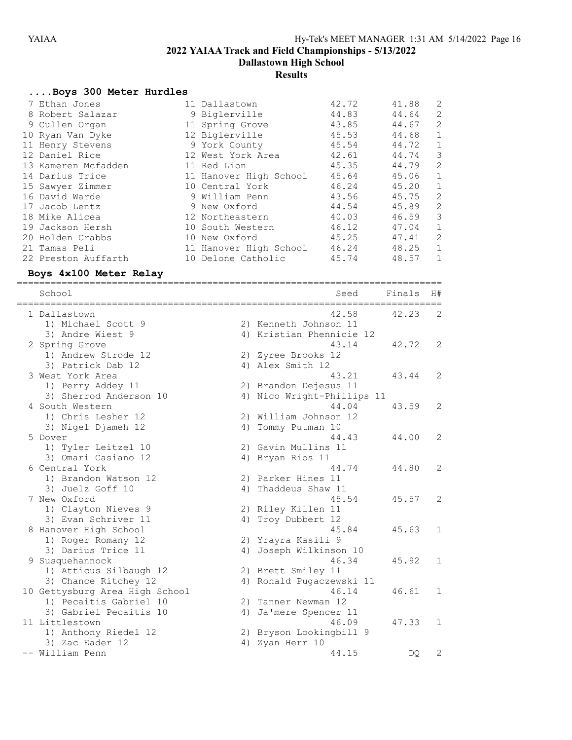Dallastown High School

# **Results**

# ....Boys 300 Meter Hurdles

| 7 Ethan Jones       |    | 11 Dallastown          | 42.72 | 41.88 | 2            |
|---------------------|----|------------------------|-------|-------|--------------|
| 8 Robert Salazar    |    | 9 Biglerville          | 44.83 | 44.64 | 2            |
| 9 Cullen Organ      |    | 11 Spring Grove        | 43.85 | 44.67 | 2            |
| 10 Ryan Van Dyke    |    | 12 Biglerville         | 45.53 | 44.68 | $\mathbf{1}$ |
| 11 Henry Stevens    |    | 9 York County          | 45.54 | 44.72 | $\mathbf 1$  |
| 12 Daniel Rice      |    | 12 West York Area      | 42.61 | 44.74 | 3            |
| 13 Kameren Mcfadden |    | 11 Red Lion            | 45.35 | 44.79 | 2            |
| 14 Darius Trice     |    | 11 Hanover High School | 45.64 | 45.06 | $\mathbf{1}$ |
| 15 Sawyer Zimmer    |    | 10 Central York        | 46.24 | 45.20 | 1            |
| 16 David Warde      |    | 9 William Penn         | 43.56 | 45.75 | 2            |
| 17 Jacob Lentz      |    | 9 New Oxford           | 44.54 | 45.89 | 2            |
| 18 Mike Alicea      |    | 12 Northeastern        | 40.03 | 46.59 | 3            |
| 19 Jackson Hersh    |    | 10 South Western       | 46.12 | 47.04 | $\mathbf 1$  |
| 20 Holden Crabbs    |    | 10 New Oxford          | 45.25 | 47.41 | 2            |
| 21 Tamas Peli       |    | 11 Hanover High School | 46.24 | 48.25 | 1            |
| 22 Preston Auffarth | 10 | Delone Catholic        | 45.74 | 48.57 | 1            |

# Boys 4x100 Meter Relay

| School                                           |    | Seed                       | Finals | H# |
|--------------------------------------------------|----|----------------------------|--------|----|
| --------------------------------<br>1 Dallastown |    | ------------<br>42.58      | 42.23  | 2  |
| 1) Michael Scott 9                               |    | 2) Kenneth Johnson 11      |        |    |
| 3) Andre Wiest 9                                 |    | 4) Kristian Phennicie 12   |        |    |
| 2 Spring Grove                                   |    | 43.14                      | 42.72  | 2  |
| 1) Andrew Strode 12                              |    | 2) Zyree Brooks 12         |        |    |
| 3) Patrick Dab 12                                |    | 4) Alex Smith 12           |        |    |
| 3 West York Area                                 |    | 43.21                      | 43.44  | 2  |
| 1) Perry Addey 11                                |    | 2) Brandon Dejesus 11      |        |    |
| 3) Sherrod Anderson 10                           |    | 4) Nico Wright-Phillips 11 |        |    |
| 4 South Western                                  |    | 44.04                      | 43.59  | 2  |
| 1) Chris Lesher 12                               |    | 2) William Johnson 12      |        |    |
| 3) Nigel Djameh 12                               |    | 4) Tommy Putman 10         |        |    |
| 5 Dover                                          |    | 44.43                      | 44.00  | 2  |
| 1) Tyler Leitzel 10                              |    | 2) Gavin Mullins 11        |        |    |
| 3) Omari Casiano 12                              |    | 4) Bryan Rios 11           |        |    |
| 6 Central York                                   |    | 44.74                      | 44.80  | 2  |
| 1) Brandon Watson 12                             |    | 2) Parker Hines 11         |        |    |
| 3) Juelz Goff 10                                 | 4) | Thaddeus Shaw 11           |        |    |
| 7 New Oxford                                     |    | 45.54                      | 45.57  | 2  |
| 1) Clayton Nieves 9                              |    | 2) Riley Killen 11         |        |    |
| 3) Evan Schriver 11                              | 4) | Troy Dubbert 12            |        |    |
| 8 Hanover High School                            |    | 45.84                      | 45.63  | 1  |
| 1) Roger Romany 12                               |    | 2) Yrayra Kasili 9         |        |    |
| 3) Darius Trice 11                               | 4) | Joseph Wilkinson 10        |        |    |
| 9 Susquehannock                                  |    | 46.34                      | 45.92  | 1  |
| 1) Atticus Silbaugh 12                           |    | 2) Brett Smiley 11         |        |    |
| 3) Chance Ritchey 12                             |    | 4) Ronald Pugaczewski 11   |        |    |
| 10 Gettysburg Area High School                   |    | 46.14                      | 46.61  | 1  |
| 1) Pecaitis Gabriel 10                           |    | 2) Tanner Newman 12        |        |    |
| 3) Gabriel Pecaitis 10                           | 4) | Ja'mere Spencer 11         |        |    |
| 11 Littlestown                                   |    | 46.09                      | 47.33  | 1  |
| 1) Anthony Riedel 12                             |    | 2) Bryson Lookingbill 9    |        |    |
| 3) Zac Eader 12                                  | 4) | Zyan Herr 10               |        |    |
| -- William Penn                                  |    | 44.15                      | DQ     | 2  |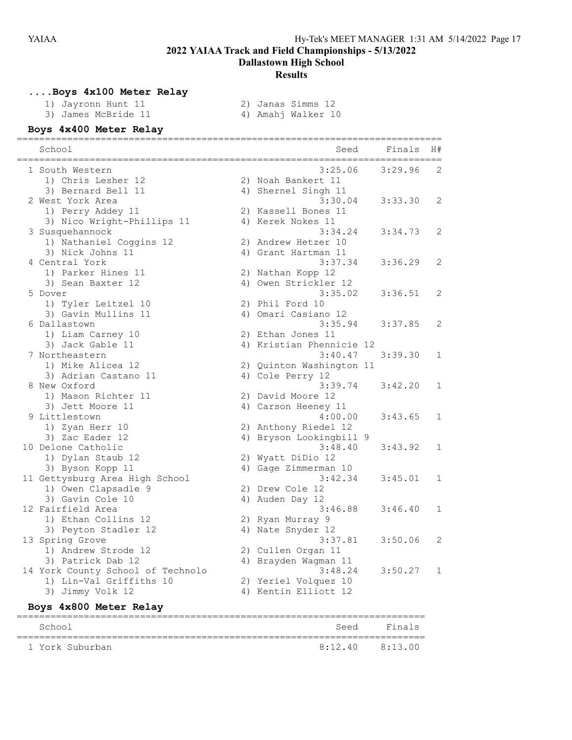Dallastown High School

#### Results

# ....Boys 4x100 Meter Relay

| 1) Jayronn Hunt 11  |
|---------------------|
| 3) James McBride 11 |

2) Janas Simms 12<br>4) Amahj Walker 10

# Boys 4x400 Meter Relay

| School<br>------------            | Seed<br>-----------      | Finals  | H#           |
|-----------------------------------|--------------------------|---------|--------------|
| 1 South Western                   | 3:25.06                  | 3:29.96 | 2            |
| 1) Chris Lesher 12                | 2) Noah Bankert 11       |         |              |
| 3) Bernard Bell 11                | 4) Shernel Singh 11      |         |              |
| 2 West York Area                  | 3:30.04                  | 3:33.30 | 2            |
| 1) Perry Addey 11                 | 2) Kassell Bones 11      |         |              |
| 3) Nico Wright-Phillips 11        | 4) Kerek Nokes 11        |         |              |
| 3 Susquehannock                   | 3:34.24                  | 3:34.73 | 2            |
| 1) Nathaniel Coggins 12           | 2) Andrew Hetzer 10      |         |              |
| 3) Nick Johns 11                  | 4) Grant Hartman 11      |         |              |
| 4 Central York                    | 3:37.34                  | 3:36.29 | 2            |
| 1) Parker Hines 11                | 2) Nathan Kopp 12        |         |              |
| 3) Sean Baxter 12                 | 4) Owen Strickler 12     |         |              |
| 5 Dover                           | 3:35.02                  | 3:36.51 | 2            |
| 1) Tyler Leitzel 10               | 2) Phil Ford 10          |         |              |
| 3) Gavin Mullins 11               | 4) Omari Casiano 12      |         |              |
| 6 Dallastown                      | 3:35.94                  | 3:37.85 | 2            |
| 1) Liam Carney 10                 | 2) Ethan Jones 11        |         |              |
| 3) Jack Gable 11                  | 4) Kristian Phennicie 12 |         |              |
| 7 Northeastern                    | 3:40.47                  | 3:39.30 | $\mathbf{1}$ |
| 1) Mike Alicea 12                 | 2) Quinton Washington 11 |         |              |
| 3) Adrian Castano 11              | 4) Cole Perry 12         |         |              |
| 8 New Oxford                      | 3:39.74                  | 3:42.20 | 1            |
| 1) Mason Richter 11               | 2) David Moore 12        |         |              |
| 3) Jett Moore 11                  | 4) Carson Heeney 11      |         |              |
| 9 Littlestown                     | 4:00.00                  | 3:43.65 | 1            |
| 1) Zyan Herr 10                   | 2) Anthony Riedel 12     |         |              |
| 3) Zac Eader 12                   | 4) Bryson Lookingbill 9  |         |              |
| 10 Delone Catholic                | 3:48.40                  | 3:43.92 | $\mathbf 1$  |
| 1) Dylan Staub 12                 | 2) Wyatt DiDio 12        |         |              |
| 3) Byson Kopp 11                  | 4) Gage Zimmerman 10     |         |              |
| 11 Gettysburg Area High School    | 3:42.34                  | 3:45.01 | $\mathbf{1}$ |
| 1) Owen Clapsadle 9               | 2) Drew Cole 12          |         |              |
| 3) Gavin Cole 10                  | 4) Auden Day 12          |         |              |
| 12 Fairfield Area                 | 3:46.88                  | 3:46.40 | 1            |
| 1) Ethan Collins 12               | 2) Ryan Murray 9         |         |              |
| 3) Peyton Stadler 12              | 4) Nate Snyder 12        |         |              |
| 13 Spring Grove                   | 3:37.81                  | 3:50.06 | 2            |
| 1) Andrew Strode 12               | 2) Cullen Organ 11       |         |              |
| 3) Patrick Dab 12                 | 4) Brayden Waqman 11     |         |              |
| 14 York County School of Technolo | 3:48.24                  | 3:50.27 | 1            |
| 1) Lin-Val Griffiths 10           | 2) Yeriel Volquez 10     |         |              |
| 3) Jimmy Volk 12                  | 4) Kentin Elliott 12     |         |              |

# Boys 4x800 Meter Relay

| School          |                     | Seed Finals |
|-----------------|---------------------|-------------|
| 1 York Suburban | $8:12.40$ $8:13.00$ |             |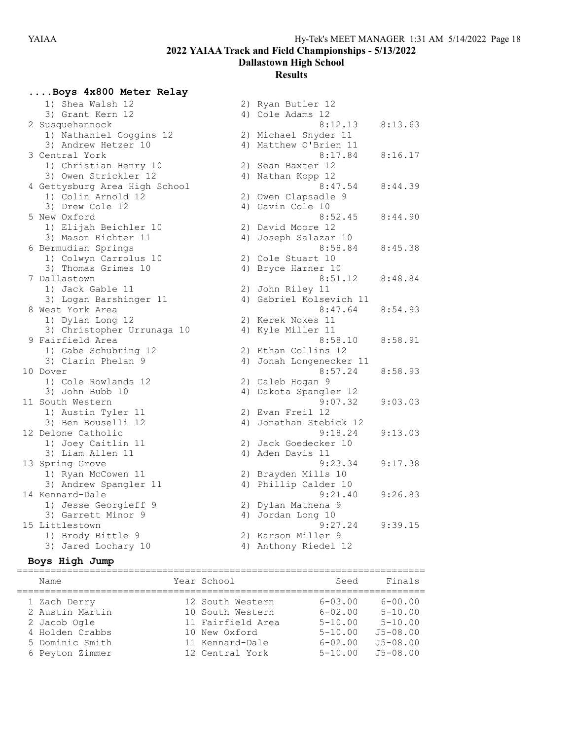Dallastown High School

# **Results**

# ....Boys 4x800 Meter Relay

| 1) Shea Walsh 12              |    | 2) Ryan Butler 12       |         |
|-------------------------------|----|-------------------------|---------|
| 3) Grant Kern 12              |    | 4) Cole Adams 12        |         |
| 2 Susquehannock               |    | 8:12.13                 | 8:13.63 |
| 1) Nathaniel Coggins 12       |    | 2) Michael Snyder 11    |         |
| 3) Andrew Hetzer 10           |    | 4) Matthew O'Brien 11   |         |
| 3 Central York                |    | 8:17.84                 | 8:16.17 |
| 1) Christian Henry 10         |    | 2) Sean Baxter 12       |         |
| 3) Owen Strickler 12          |    | 4) Nathan Kopp 12       |         |
| 4 Gettysburg Area High School |    | 8:47.54                 | 8:44.39 |
| 1) Colin Arnold 12            |    | 2) Owen Clapsadle 9     |         |
| 3) Drew Cole 12               |    | 4) Gavin Cole 10        |         |
| 5 New Oxford                  |    | 8:52.45                 | 8:44.90 |
| 1) Elijah Beichler 10         |    | 2) David Moore 12       |         |
| 3) Mason Richter 11           |    | 4) Joseph Salazar 10    |         |
| 6 Bermudian Springs           |    | 8:58.84                 | 8:45.38 |
| 1) Colwyn Carrolus 10         |    | 2) Cole Stuart 10       |         |
| 3) Thomas Grimes 10           |    | 4) Bryce Harner 10      |         |
| 7 Dallastown                  |    | 8:51.12                 | 8:48.84 |
| 1) Jack Gable 11              |    | 2) John Riley 11        |         |
| 3) Logan Barshinger 11        |    | 4) Gabriel Kolsevich 11 |         |
| 8 West York Area              |    | 8:47.64                 | 8:54.93 |
| 1) Dylan Long 12              |    | 2) Kerek Nokes 11       |         |
| 3) Christopher Urrunaga 10    |    | 4) Kyle Miller 11       |         |
| 9 Fairfield Area              |    | 8:58.10                 | 8:58.91 |
| 1) Gabe Schubring 12          |    | 2) Ethan Collins 12     |         |
| 3) Ciarin Phelan 9            | 4) | Jonah Longenecker 11    |         |
| 10 Dover                      |    | 8:57.24                 | 8:58.93 |
| 1) Cole Rowlands 12           |    | 2) Caleb Hogan 9        |         |
| 3) John Bubb 10               |    | 4) Dakota Spangler 12   |         |
| 11 South Western              |    | 9:07.32                 | 9:03.03 |
| 1) Austin Tyler 11            |    | 2) Evan Freil 12        |         |
| 3) Ben Bouselli 12            |    | 4) Jonathan Stebick 12  |         |
| 12 Delone Catholic            |    | 9:18.24                 | 9:13.03 |
| 1) Joey Caitlin 11            |    | 2) Jack Goedecker 10    |         |
| 3) Liam Allen 11              |    | 4) Aden Davis 11        |         |
| 13 Spring Grove               |    | 9:23.34                 | 9:17.38 |
| 1) Ryan McCowen 11            |    | 2) Brayden Mills 10     |         |
| 3) Andrew Spangler 11         |    | 4) Phillip Calder 10    |         |
| 14 Kennard-Dale               |    | 9:21.40                 | 9:26.83 |
| 1) Jesse Georgieff 9          |    | 2) Dylan Mathena 9      |         |
| 3) Garrett Minor 9            |    | 4) Jordan Long 10       |         |
| 15 Littlestown                |    | 9:27.24                 | 9:39.15 |
| 1) Brody Bittle 9             |    | 2) Karson Miller 9      |         |
| 3) Jared Lochary 10           |    | 4) Anthony Riedel 12    |         |

# Boys High Jump

| Name            | Year School       | Seed        | Finals       |
|-----------------|-------------------|-------------|--------------|
| 1 Zach Derry    | 12 South Western  | $6 - 03.00$ | $6 - 00.00$  |
| 2 Austin Martin | 10 South Western  | $6 - 02.00$ | $5 - 10.00$  |
| 2 Jacob Ogle    | 11 Fairfield Area | $5 - 10.00$ | $5 - 10.00$  |
| 4 Holden Crabbs | 10 New Oxford     | $5 - 10.00$ | $J5 - 08.00$ |
| 5 Dominic Smith | 11 Kennard-Dale   | $6 - 02.00$ | $J5 - 08.00$ |
| 6 Peyton Zimmer | 12 Central York   | $5 - 10.00$ | $J5 - 08.00$ |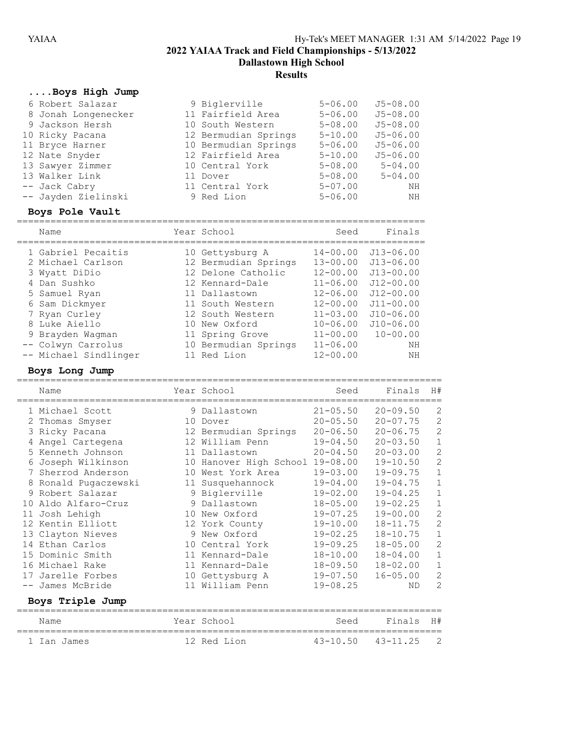Dallastown High School

# **Results**

# ....Boys High Jump

| 6 Robert Salazar    | 9 Biglerville        | $5 - 06.00$ | $J5 - 08.00$ |
|---------------------|----------------------|-------------|--------------|
| 8 Jonah Longenecker | 11 Fairfield Area    | $5 - 06.00$ | $J5 - 08.00$ |
| 9 Jackson Hersh     | 10 South Western     | $5 - 08.00$ | $J5 - 08.00$ |
| 10 Ricky Pacana     | 12 Bermudian Springs | $5 - 10.00$ | $J5 - 06.00$ |
| 11 Bryce Harner     | 10 Bermudian Springs | $5 - 06.00$ | $J5 - 06.00$ |
| 12 Nate Snyder      | 12 Fairfield Area    | $5 - 10.00$ | $J5 - 06.00$ |
| 13 Sawyer Zimmer    | 10 Central York      | $5 - 08.00$ | $5 - 04.00$  |
| 13 Walker Link      | 11 Dover             | $5 - 08.00$ | $5 - 04.00$  |
| -- Jack Cabry       | 11 Central York      | $5 - 07.00$ | ΝH           |
| -- Jayden Zielinski | 9 Red Lion           | $5 - 06.00$ | ΝH           |

# Boys Pole Vault

| Name                                                     | Year School                                                   | Seed                                         | Finals                                          |
|----------------------------------------------------------|---------------------------------------------------------------|----------------------------------------------|-------------------------------------------------|
| 1 Gabriel Pecaitis<br>2 Michael Carlson<br>3 Wyatt DiDio | 10 Gettysburg A<br>12 Bermudian Springs<br>12 Delone Catholic | $14 - 00.00$<br>$13 - 00.00$<br>$12 - 00.00$ | $J13 - 06.00$<br>$J13 - 06.00$<br>$J13 - 00.00$ |
| 4 Dan Sushko                                             | 12 Kennard-Dale                                               | $11 - 06.00$                                 | $J12 - 00.00$                                   |
| 5 Samuel Ryan                                            | 11 Dallastown                                                 | $12 - 06.00$                                 | $J12 - 00.00$                                   |
| 6 Sam Dickmyer                                           | 11 South Western                                              | $12 - 00.00$                                 | $J11 - 00.00$                                   |
| 7 Ryan Curley                                            | 12 South Western                                              | $11 - 03.00$                                 | $J10 - 06.00$                                   |
| 8 Luke Aiello                                            | 10 New Oxford                                                 | $10 - 06.00$                                 | $J10 - 06.00$                                   |
| 9 Brayden Waqman                                         | 11 Spring Grove                                               | $11 - 00.00$                                 | $10 - 00.00$                                    |
| -- Colwyn Carrolus                                       | 10 Bermudian Springs                                          | $11 - 06.00$                                 | NH                                              |
| -- Michael Sindlinger                                    | 11 Red Lion                                                   | $12 - 00.00$                                 | NH                                              |

#### Boys Long Jump

|       | Name                 |   | Year School            | Seed         | Finals       | H#             |
|-------|----------------------|---|------------------------|--------------|--------------|----------------|
|       | 1 Michael Scott      | 9 | Dallastown             | $21 - 05.50$ | $20 - 09.50$ | 2              |
|       | 2 Thomas Smyser      |   | 10 Dover               | $20 - 05.50$ | $20 - 07.75$ | $\mathbf{2}$   |
|       | 3 Ricky Pacana       |   | 12 Bermudian Springs   | $20 - 06.50$ | $20 - 06.75$ | $\overline{c}$ |
|       | Angel Cartegena      |   | 12 William Penn        | $19 - 04.50$ | $20 - 03.50$ | $\mathbf 1$    |
|       | 5 Kenneth Johnson    |   | 11 Dallastown          | $20 - 04.50$ | $20 - 03.00$ | $\overline{c}$ |
|       | Joseph Wilkinson     |   | 10 Hanover High School | $19 - 08.00$ | $19 - 10.50$ | $\overline{c}$ |
| 7     | Sherrod Anderson     |   | 10 West York Area      | $19 - 03.00$ | $19 - 09.75$ | $\mathbf{1}$   |
|       | 8 Ronald Pugaczewski |   | 11 Susquehannock       | $19 - 04.00$ | $19 - 04.75$ | $\mathbf 1$    |
| 9     | Robert Salazar       |   | 9 Biglerville          | $19 - 02.00$ | $19 - 04.25$ | $\mathbf 1$    |
| 10    | Aldo Alfaro-Cruz     |   | 9 Dallastown           | $18 - 05.00$ | $19 - 02.25$ | 1              |
|       | 11 Josh Lehigh       |   | 10 New Oxford          | $19 - 07.25$ | $19 - 00.00$ | $\overline{c}$ |
|       | 12 Kentin Elliott    |   | 12 York County         | $19 - 10.00$ | $18 - 11.75$ | $\overline{c}$ |
|       | 13 Clayton Nieves    |   | 9 New Oxford           | $19 - 02.25$ | $18 - 10.75$ | $\mathbf 1$    |
|       | 14 Ethan Carlos      |   | 10 Central York        | $19 - 09.25$ | $18 - 05.00$ | $\overline{c}$ |
|       | 15 Dominic Smith     |   | 11 Kennard-Dale        | $18 - 10.00$ | $18 - 04.00$ | $\mathbf 1$    |
|       | 16 Michael Rake      |   | 11 Kennard-Dale        | $18 - 09.50$ | $18 - 02.00$ | $\mathbf 1$    |
|       | 17 Jarelle Forbes    |   | 10 Gettysburg A        | $19 - 07.50$ | $16 - 05.00$ | $\overline{2}$ |
| $- -$ | James McBride        |   | 11 William Penn        | $19 - 08.25$ | <b>ND</b>    | $\overline{2}$ |
|       | Boys Triple Jump     |   |                        |              |              |                |
|       | Name                 |   | Year School            | Seed         | Finals       | H#             |
|       | 1 Ian James          |   | 12 Red Lion            | $43 - 10.50$ | $43 - 11.25$ | 2              |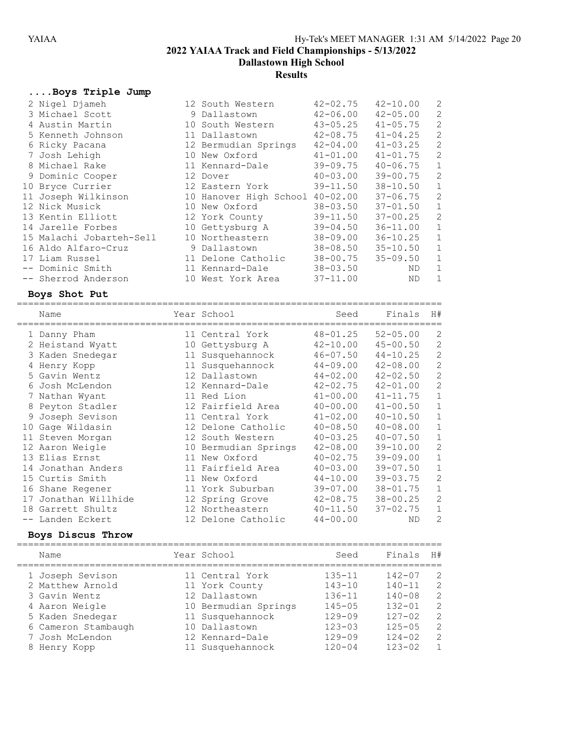Dallastown High School

# **Results**

# ....Boys Triple Jump

| $N1 - m2$                        | اللاتا بمادة المملكة الممكن الممطور المعامل المعامل المعامل المعامل المعامل المعامل المعامل المعامل المعامل ال |              |                                   |                |
|----------------------------------|----------------------------------------------------------------------------------------------------------------|--------------|-----------------------------------|----------------|
| Boys Shot Put<br>=============== |                                                                                                                |              | ================================= |                |
| -- Sherrod Anderson              | 10 West York Area                                                                                              | $37 - 11.00$ | ND.                               | $\mathbf{1}$   |
| -- Dominic Smith                 | 11 Kennard-Dale                                                                                                | $38 - 03.50$ | ND.                               | $\mathbf{1}$   |
| 17 Liam Russel                   | 11 Delone Catholic                                                                                             | $38 - 00.75$ | $35 - 09.50$                      | $\mathbf 1$    |
| 16 Aldo Alfaro-Cruz              | 9 Dallastown                                                                                                   | $38 - 08.50$ | $35 - 10.50$                      | $\mathbf{1}$   |
| 15 Malachi Jobarteh-Sell         | 10 Northeastern                                                                                                | 38-09.00     | $36 - 10.25$                      | $\mathbf 1$    |
| 14 Jarelle Forbes                | 10 Gettysburg A                                                                                                | $39 - 04.50$ | 36-11.00                          | $\mathbf{1}$   |
| 13 Kentin Elliott                | 12 York County                                                                                                 | $39 - 11.50$ | $37 - 00.25$                      | 2              |
| 12 Nick Musick                   | 10 New Oxford                                                                                                  | $38 - 03.50$ | $37 - 01.50$                      | $\mathbf{1}$   |
| 11 Joseph Wilkinson              | 10 Hanover High School 40-02.00                                                                                |              | $37 - 06.75$                      | $\mathbf{2}$   |
| 10 Bryce Currier                 | 12 Eastern York                                                                                                | $39 - 11.50$ | $38 - 10.50$                      | $\mathbf{1}$   |
| 9 Dominic Cooper                 | 12 Dover                                                                                                       | $40 - 03.00$ | 39-00.75                          | 2              |
| 8 Michael Rake                   | 11 Kennard-Dale                                                                                                | 39-09.75     | 40-06.75                          | $\mathbf{1}$   |
| 7 Josh Lehigh                    | 10 New Oxford                                                                                                  | $41 - 01.00$ | $41 - 01.75$                      | 2              |
| 6 Ricky Pacana                   | 12 Bermudian Springs                                                                                           | $42 - 04.00$ | $41 - 03.25$                      | $\mathbf{2}$   |
| 5 Kenneth Johnson                | 11 Dallastown                                                                                                  | $42 - 08.75$ | $41 - 04.25$                      | 2              |
| 4 Austin Martin                  | 10 South Western                                                                                               | $43 - 05.25$ | $41 - 05.75$                      | $\overline{c}$ |
| 3 Michael Scott                  | 9 Dallastown                                                                                                   | $42 - 06.00$ | $42 - 05.00$                      | 2              |
| 2 Nigel Djameh                   | 12 South Western                                                                                               | 42-02.75     | $42 - 10.00$                      | 2              |

| Name                 |    | Year School          | Seed         | Finals       | H#             |
|----------------------|----|----------------------|--------------|--------------|----------------|
| 1 Danny Pham         |    | 11 Central York      | $48 - 01.25$ | $52 - 05.00$ | 2              |
| 2 Heistand Wyatt     |    | 10 Gettysburg A      | $42 - 10.00$ | $45 - 00.50$ | $\mathbf{2}$   |
| 3 Kaden Snedegar     |    | 11 Susquehannock     | $46 - 07.50$ | $44 - 10.25$ | 2              |
| 4 Henry Kopp         |    | 11 Susquehannock     | $44 - 09.00$ | $42 - 08.00$ | $\mathbf{2}$   |
| 5 Gavin Wentz        |    | 12 Dallastown        | $44 - 02.00$ | $42 - 02.50$ | $\mathbf{2}$   |
| 6 Josh McLendon      |    | 12 Kennard-Dale      | $42 - 02.75$ | $42 - 01.00$ | $\mathbf{2}$   |
| 7 Nathan Wyant       |    | 11 Red Lion          | $41 - 00.00$ | $41 - 11.75$ | $\mathbf 1$    |
| 8 Peyton Stadler     |    | 12 Fairfield Area    | $40 - 00.00$ | $41 - 00.50$ | $\mathbf 1$    |
| 9 Joseph Sevison     |    | 11 Central York      | $41 - 02.00$ | $40 - 10.50$ | $\mathbf 1$    |
| 10 Gage Wildasin     |    | 12 Delone Catholic   | $40 - 08.50$ | $40 - 08.00$ | $\mathbf 1$    |
| 11 Steven Morgan     |    | 12 South Western     | $40 - 03.25$ | $40 - 07.50$ | $\mathbf{1}$   |
| 12 Aaron Weigle      |    | 10 Bermudian Springs | $42 - 08.00$ | $39 - 10.00$ | $\mathbf{2}$   |
| 13 Elias Ernst       |    | 11 New Oxford        | $40 - 02.75$ | $39 - 09.00$ | $\mathbf 1$    |
| 14 Jonathan Anders   |    | 11 Fairfield Area    | $40 - 03.00$ | $39 - 07.50$ | $\mathbf 1$    |
| 15 Curtis Smith      | 11 | New Oxford           | $44 - 10.00$ | $39 - 03.75$ | $\overline{2}$ |
| 16 Shane Regener     |    | 11 York Suburban     | $39 - 07.00$ | $38 - 01.75$ | $\mathbf{1}$   |
| 17 Jonathan Willhide |    | 12 Spring Grove      | $42 - 08.75$ | $38 - 00.25$ | $\overline{2}$ |
| 18 Garrett Shultz    |    | 12 Northeastern      | $40 - 11.50$ | $37 - 02.75$ | $\mathbf 1$    |
| -- Landen Eckert     |    | 12 Delone Catholic   | $44 - 00.00$ | ND           | 2              |

#### Boys Discus Throw

| Name                | Year School          | Seed       | Finals     | H#             |
|---------------------|----------------------|------------|------------|----------------|
| 1 Joseph Sevison    | 11 Central York      | $135 - 11$ | $142 - 07$ | 2              |
| 2 Matthew Arnold    | 11 York County       | $143 - 10$ | $140 - 11$ | 2              |
| 3 Gavin Wentz       | 12 Dallastown        | $136 - 11$ | $140 - 08$ | 2              |
| 4 Aaron Weigle      | 10 Bermudian Springs | $145 - 05$ | $132 - 01$ | 2              |
| 5 Kaden Snedegar    | 11 Susquehannock     | $129 - 09$ | $127 - 02$ | 2              |
| 6 Cameron Stambaugh | 10 Dallastown        | $123 - 03$ | $125 - 05$ | 2              |
| 7 Josh McLendon     | 12 Kennard-Dale      | $129 - 09$ | $124 - 02$ | 2              |
| 8 Henry Kopp        | 11 Susquehannock     | $120 - 04$ | $123 - 02$ | $\overline{1}$ |
|                     |                      |            |            |                |